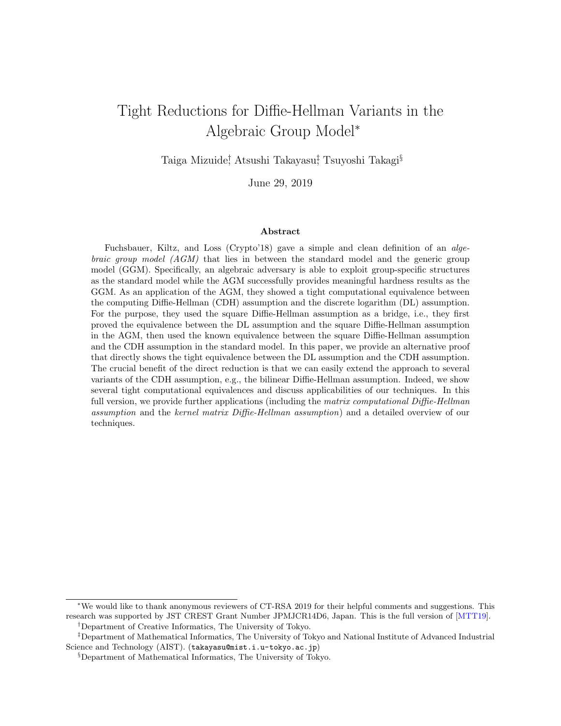# Tight Reductions for Diffie-Hellman Variants in the Algebraic Group Model*<sup>∗</sup>*

Taiga Mizuide*†* , Atsushi Takayasu*‡* , Tsuyoshi Takagi*§*

June 29, 2019

#### **Abstract**

Fuchsbauer, Kiltz, and Loss (Crypto'18) gave a simple and clean definition of an *algebraic group model (AGM)* that lies in between the standard model and the generic group model (GGM). Specifically, an algebraic adversary is able to exploit group-specific structures as the standard model while the AGM successfully provides meaningful hardness results as the GGM. As an application of the AGM, they showed a tight computational equivalence between the computing Diffie-Hellman (CDH) assumption and the discrete logarithm (DL) assumption. For the purpose, they used the square Diffie-Hellman assumption as a bridge, i.e., they first proved the equivalence between the DL assumption and the square Diffie-Hellman assumption in the AGM, then used the known equivalence between the square Diffie-Hellman assumption and the CDH assumption in the standard model. In this paper, we provide an alternative proof that directly shows the tight equivalence between the DL assumption and the CDH assumption. The crucial benefit of the direct reduction is that we can easily extend the approach to several variants of the CDH assumption, e.g., the bilinear Diffie-Hellman assumption. Indeed, we show several tight computational equivalences and discuss applicabilities of our techniques. In this full version, we provide further applications (including the *matrix computational Diffie-Hellman assumption* and the *kernel matrix Diffie-Hellman assumption*) and a detailed overview of our techniques.

*<sup>∗</sup>*We would like to thank anonymous reviewers of CT-RSA 2019 for their helpful comments and suggestions. This research was supported by JST CREST Grant Number JPMJCR14D6, Japan. This is the full version of [MTT19]. *†*Department of Creative Informatics, The University of Tokyo.

*<sup>‡</sup>*Department of Mathematical Informatics, The University of Tokyo and National Institute of Advanced Industrial Science and Technology (AIST). (takayasu@mist.i.u-tokyo.ac.jp)

*<sup>§</sup>*Department of Mathematical Informatics, The University of Tokyo.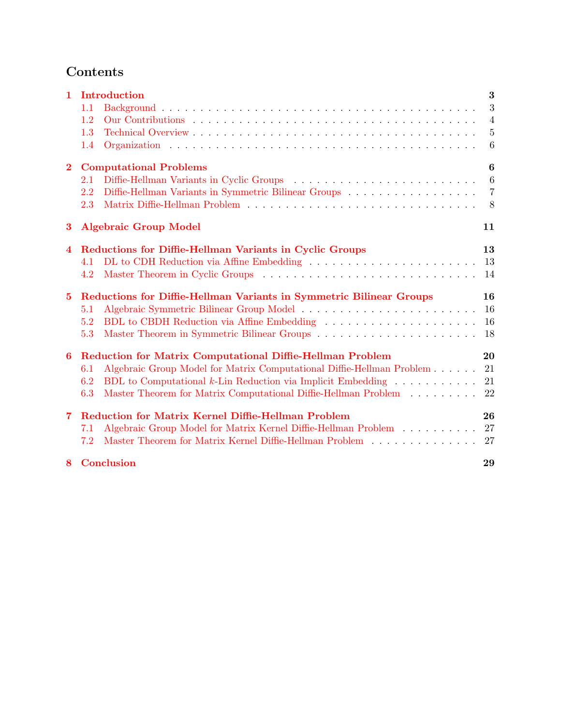# **Contents**

| $\mathbf{1}$            | Introduction                                                                                 | $\bf{3}$        |  |  |  |  |  |  |
|-------------------------|----------------------------------------------------------------------------------------------|-----------------|--|--|--|--|--|--|
|                         | 1.1                                                                                          | 3               |  |  |  |  |  |  |
|                         | 1.2                                                                                          | $\overline{4}$  |  |  |  |  |  |  |
|                         | 1.3                                                                                          | $\overline{5}$  |  |  |  |  |  |  |
|                         | 1.4                                                                                          | 6               |  |  |  |  |  |  |
| $\overline{\mathbf{2}}$ | <b>Computational Problems</b>                                                                |                 |  |  |  |  |  |  |
|                         | 2.1                                                                                          | $6\phantom{.}6$ |  |  |  |  |  |  |
|                         | 2.2                                                                                          | $\overline{7}$  |  |  |  |  |  |  |
|                         | 2.3                                                                                          | 8               |  |  |  |  |  |  |
| 3                       | <b>Algebraic Group Model</b>                                                                 |                 |  |  |  |  |  |  |
| 4                       | Reductions for Diffie-Hellman Variants in Cyclic Groups<br>13                                |                 |  |  |  |  |  |  |
|                         | 4.1                                                                                          | 13              |  |  |  |  |  |  |
|                         | 4.2                                                                                          | 14              |  |  |  |  |  |  |
| $\bf{5}$                | Reductions for Diffie-Hellman Variants in Symmetric Bilinear Groups                          |                 |  |  |  |  |  |  |
|                         | 5.1                                                                                          | 16              |  |  |  |  |  |  |
|                         | 5.2                                                                                          | 16              |  |  |  |  |  |  |
|                         | 5.3                                                                                          | 18              |  |  |  |  |  |  |
| $6\phantom{1}$          | <b>Reduction for Matrix Computational Diffie-Hellman Problem</b>                             | 20              |  |  |  |  |  |  |
|                         | Algebraic Group Model for Matrix Computational Diffie-Hellman Problem<br>6.1                 | 21              |  |  |  |  |  |  |
|                         | BDL to Computational $k$ -Lin Reduction via Implicit Embedding $\ldots \ldots \ldots$<br>6.2 | 21              |  |  |  |  |  |  |
|                         | Master Theorem for Matrix Computational Diffie-Hellman Problem<br>6.3                        | 22              |  |  |  |  |  |  |
| $\overline{7}$          | Reduction for Matrix Kernel Diffie-Hellman Problem                                           | 26              |  |  |  |  |  |  |
|                         | Algebraic Group Model for Matrix Kernel Diffie-Hellman Problem<br>7.1                        | 27              |  |  |  |  |  |  |
|                         | Master Theorem for Matrix Kernel Diffie-Hellman Problem<br>7.2                               | 27              |  |  |  |  |  |  |
| 8                       | Conclusion                                                                                   | 29              |  |  |  |  |  |  |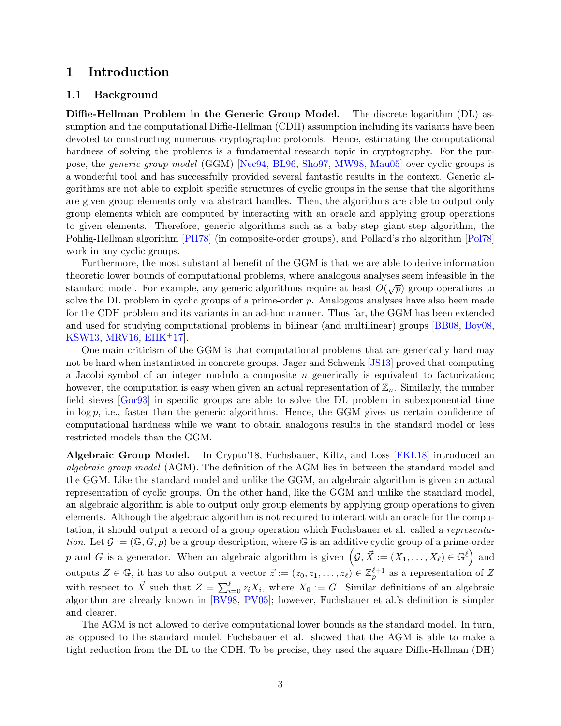# **1 Introduction**

### **1.1 Background**

**Diffie-Hellman Problem in the Generic Group Model.** The discrete logarithm (DL) assumption and the computational Diffie-Hellman (CDH) assumption including its variants have been devoted to constructing numerous cryptographic protocols. Hence, estimating the computational hardness of solving the problems is a fundamental research topic in cryptography. For the purpose, the *generic group model* (GGM) [Nec94, BL96, Sho97, MW98, Mau05] over cyclic groups is a wonderful tool and has successfully provided several fantastic results in the context. Generic algorithms are not able to exploit specific structures of cyclic groups in the sense that the algorithms are given group elements only via abstract handles. Then, the algorithms are able to output only group elements which are computed by interacting with an oracle and applying group operations to given elements. Therefore, generic algorithms such as a baby-step giant-step algorithm, the Pohlig-Hellman algorithm [PH78] (in composite-order groups), and Pollard's rho algorithm [Pol78] work in any cyclic groups.

Furthermore, the most substantial benefit of the GGM is that we are able to derive information theoretic lower bounds of computational problems, where analogous analyses seem infeasible in the standard model. For example, any generic algorithms require at least  $O(\sqrt{p})$  group operations to solve the DL problem in cyclic groups of a prime-order *p*. Analogous analyses have also been made for the CDH problem and its variants in an ad-hoc manner. Thus far, the GGM has been extended and used for studying computational problems in bilinear (and multilinear) groups [BB08, Boy08, KSW13, MRV16,  $EHK+17$ .

One main criticism of the GGM is that computational problems that are generically hard may not be hard when instantiated in concrete groups. Jager and Schwenk [JS13] proved that computing a Jacobi symbol of an integer modulo a composite *n* generically is equivalent to factorization; however, the computation is easy when given an actual representation of  $\mathbb{Z}_n$ . Similarly, the number field sieves [Gor93] in specific groups are able to solve the DL problem in subexponential time in log *p*, i.e., faster than the generic algorithms. Hence, the GGM gives us certain confidence of computational hardness while we want to obtain analogous results in the standard model or less restricted models than the GGM.

**Algebraic Group Model.** In Crypto'18, Fuchsbauer, Kiltz, and Loss [FKL18] introduced an *algebraic group model* (AGM). The definition of the AGM lies in between the standard model and the GGM. Like the standard model and unlike the GGM, an algebraic algorithm is given an actual representation of cyclic groups. On the other hand, like the GGM and unlike the standard model, an algebraic algorithm is able to output only group elements by applying group operations to given elements. Although the algebraic algorithm is not required to interact with an oracle for the computation, it should output a record of a group operation which Fuchsbauer et al. called a *representation*. Let  $\mathcal{G} := (\mathbb{G}, G, p)$  be a group description, where  $\mathbb{G}$  is an additive cyclic group of a prime-order *p* and *G* is a generator. When an algebraic algorithm is given  $(g, \vec{X}) := (X_1, \ldots, X_\ell) \in \mathbb{G}^\ell$  and outputs  $Z \in \mathbb{G}$ , it has to also output a vector  $\vec{z} := (z_0, z_1, \ldots, z_\ell) \in \mathbb{Z}_p^{\ell+1}$  as a representation of  $Z$ with respect to  $\vec{X}$  such that  $Z = \sum_{i=0}^{\ell} z_i X_i$ , where  $X_0 := G$ . Similar definitions of an algebraic algorithm are already known in [BV98, PV05]; however, Fuchsbauer et al.'s definition is simpler and clearer.

The AGM is not allowed to derive computational lower bounds as the standard model. In turn, as opposed to the standard model, Fuchsbauer et al. showed that the AGM is able to make a tight reduction from the DL to the CDH. To be precise, they used the square Diffie-Hellman (DH)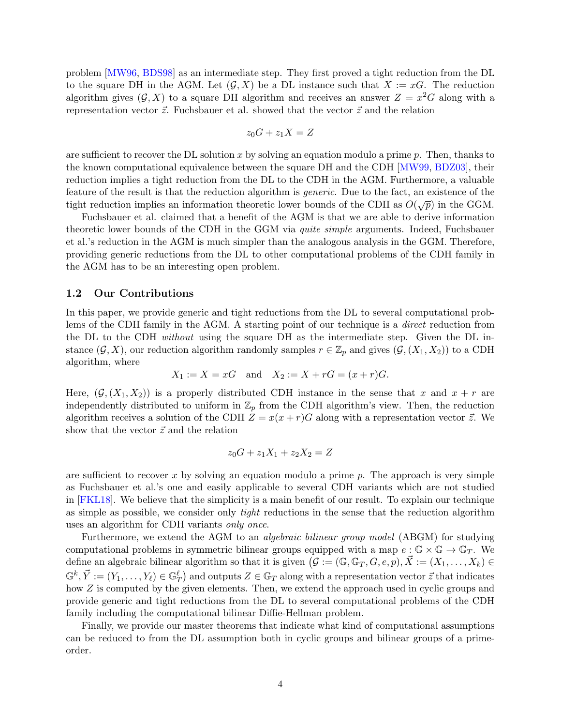problem [MW96, BDS98] as an intermediate step. They first proved a tight reduction from the DL to the square DH in the AGM. Let  $(G, X)$  be a DL instance such that  $X := xG$ . The reduction algorithm gives  $(G, X)$  to a square DH algorithm and receives an answer  $Z = x^2 G$  along with a representation vector  $\vec{z}$ . Fuchsbauer et al. showed that the vector  $\vec{z}$  and the relation

$$
z_0G + z_1X = Z
$$

are sufficient to recover the DL solution *x* by solving an equation modulo a prime *p*. Then, thanks to the known computational equivalence between the square DH and the CDH [MW99, BDZ03], their reduction implies a tight reduction from the DL to the CDH in the AGM. Furthermore, a valuable feature of the result is that the reduction algorithm is *generic*. Due to the fact, an existence of the tight reduction implies an information theoretic lower bounds of the CDH as  $O(\sqrt{p})$  in the GGM.

Fuchsbauer et al. claimed that a benefit of the AGM is that we are able to derive information theoretic lower bounds of the CDH in the GGM via *quite simple* arguments. Indeed, Fuchsbauer et al.'s reduction in the AGM is much simpler than the analogous analysis in the GGM. Therefore, providing generic reductions from the DL to other computational problems of the CDH family in the AGM has to be an interesting open problem.

### **1.2 Our Contributions**

In this paper, we provide generic and tight reductions from the DL to several computational problems of the CDH family in the AGM. A starting point of our technique is a *direct* reduction from the DL to the CDH *without* using the square DH as the intermediate step. Given the DL instance  $(G, X)$ , our reduction algorithm randomly samples  $r \in \mathbb{Z}_p$  and gives  $(G, (X_1, X_2))$  to a CDH algorithm, where

$$
X_1 := X = xG
$$
 and  $X_2 := X + rG = (x + r)G$ .

Here,  $(\mathcal{G}, (X_1, X_2))$  is a properly distributed CDH instance in the sense that *x* and  $x + r$  are independently distributed to uniform in  $\mathbb{Z}_p$  from the CDH algorithm's view. Then, the reduction algorithm receives a solution of the CDH  $Z = x(x+r)G$  along with a representation vector  $\vec{z}$ . We show that the vector  $\vec{z}$  and the relation

$$
z_0G + z_1X_1 + z_2X_2 = Z
$$

are sufficient to recover *x* by solving an equation modulo a prime *p*. The approach is very simple as Fuchsbauer et al.'s one and easily applicable to several CDH variants which are not studied in [FKL18]. We believe that the simplicity is a main benefit of our result. To explain our technique as simple as possible, we consider only *tight* reductions in the sense that the reduction algorithm uses an algorithm for CDH variants *only once*.

Furthermore, we extend the AGM to an *algebraic bilinear group model* (ABGM) for studying computational problems in symmetric bilinear groups equipped with a map  $e : \mathbb{G} \times \mathbb{G} \to \mathbb{G}_T$ . We define an algebraic bilinear algorithm so that it is given  $(G := (\mathbb{G}, \mathbb{G}_T, G, e, p), \vec{X} := (X_1, \ldots, X_k) \in$  $\mathbb{G}^k, \vec{Y} := (Y_1, \ldots, Y_\ell) \in \mathbb{G}_T^\ell$  and outputs  $Z \in \mathbb{G}_T$  along with a representation vector  $\vec{z}$  that indicates how *Z* is computed by the given elements. Then, we extend the approach used in cyclic groups and provide generic and tight reductions from the DL to several computational problems of the CDH family including the computational bilinear Diffie-Hellman problem.

Finally, we provide our master theorems that indicate what kind of computational assumptions can be reduced to from the DL assumption both in cyclic groups and bilinear groups of a primeorder.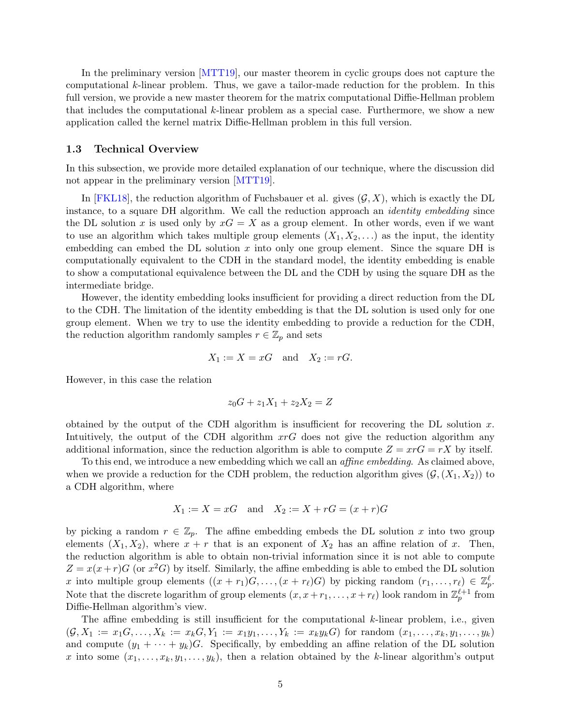In the preliminary version [MTT19], our master theorem in cyclic groups does not capture the computational *k*-linear problem. Thus, we gave a tailor-made reduction for the problem. In this full version, we provide a new master theorem for the matrix computational Diffie-Hellman problem that includes the computational *k*-linear problem as a special case. Furthermore, we show a new application called the kernel matrix Diffie-Hellman problem in this full version.

### **1.3 Technical Overview**

In this subsection, we provide more detailed explanation of our technique, where the discussion did not appear in the preliminary version [MTT19].

In [FKL18], the reduction algorithm of Fuchsbauer et al. gives  $(G, X)$ , which is exactly the DL instance, to a square DH algorithm. We call the reduction approach an *identity embedding* since the DL solution x is used only by  $xG = X$  as a group element. In other words, even if we want to use an algorithm which takes multiple group elements  $(X_1, X_2, \ldots)$  as the input, the identity embedding can embed the DL solution *x* into only one group element. Since the square DH is computationally equivalent to the CDH in the standard model, the identity embedding is enable to show a computational equivalence between the DL and the CDH by using the square DH as the intermediate bridge.

However, the identity embedding looks insufficient for providing a direct reduction from the DL to the CDH. The limitation of the identity embedding is that the DL solution is used only for one group element. When we try to use the identity embedding to provide a reduction for the CDH, the reduction algorithm randomly samples  $r \in \mathbb{Z}_p$  and sets

$$
X_1 := X = xG \quad \text{and} \quad X_2 := rG.
$$

However, in this case the relation

$$
z_0 G + z_1 X_1 + z_2 X_2 = Z
$$

obtained by the output of the CDH algorithm is insufficient for recovering the DL solution *x*. Intuitively, the output of the CDH algorithm *xrG* does not give the reduction algorithm any additional information, since the reduction algorithm is able to compute  $Z = x r G = r X$  by itself.

To this end, we introduce a new embedding which we call an *affine embedding*. As claimed above, when we provide a reduction for the CDH problem, the reduction algorithm gives  $(\mathcal{G}, (X_1, X_2))$  to a CDH algorithm, where

$$
X_1 := X = xG
$$
 and  $X_2 := X + rG = (x + r)G$ 

by picking a random  $r \in \mathbb{Z}_p$ . The affine embedding embeds the DL solution x into two group elements  $(X_1, X_2)$ , where  $x + r$  that is an exponent of  $X_2$  has an affine relation of *x*. Then, the reduction algorithm is able to obtain non-trivial information since it is not able to compute  $Z = x(x+r)G$  (or  $x^2G$ ) by itself. Similarly, the affine embedding is able to embed the DL solution *x* into multiple group elements  $((x + r_1)G, \ldots, (x + r_\ell)G)$  by picking random  $(r_1, \ldots, r_\ell) \in \mathbb{Z}_p^{\ell}$ . Note that the discrete logarithm of group elements  $(x, x + r_1, \ldots, x + r_\ell)$  look random in  $\mathbb{Z}_p^{\ell+1}$  from Diffie-Hellman algorithm's view.

The affine embedding is still insufficient for the computational *k*-linear problem, i.e., given  $(\mathcal{G}, X_1 := x_1 G, \ldots, X_k := x_k G, Y_1 := x_1 y_1, \ldots, Y_k := x_k y_k G$  for random  $(x_1, \ldots, x_k, y_1, \ldots, y_k)$ and compute  $(y_1 + \cdots + y_k)G$ . Specifically, by embedding an affine relation of the DL solution x into some  $(x_1, \ldots, x_k, y_1, \ldots, y_k)$ , then a relation obtained by the *k*-linear algorithm's output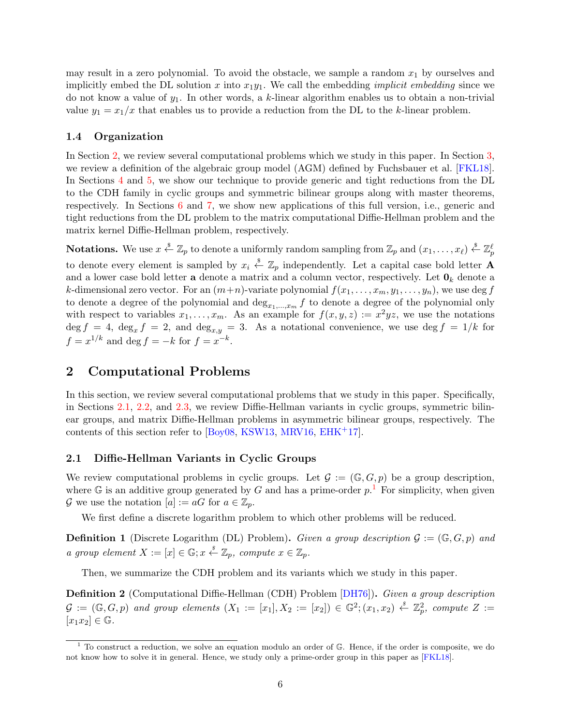may result in a zero polynomial. To avoid the obstacle, we sample a random  $x_1$  by ourselves and implicitly embed the DL solution *x* into  $x_1y_1$ . We call the embedding *implicit embedding* since we do not know a value of *y*1. In other words, a *k*-linear algorithm enables us to obtain a non-trivial value  $y_1 = x_1/x$  that enables us to provide a reduction from the DL to the *k*-linear problem.

### **1.4 Organization**

In Section 2, we review several computational problems which we study in this paper. In Section 3, we review a definition of the algebraic group model (AGM) defined by Fuchsbauer et al. [FKL18]. In Sections 4 and 5, we show our technique to provide generic and tight reductions from the DL to the CDH family in cyclic groups and symmetric bilinear groups along with master theorems, respectively. In Sections 6 and 7, we show new applications of this full version, i.e., generic and tight reductions from the DL problem to the matrix computational Diffie-Hellman problem and the matrix kernel Diffie-Hellman problem, respectively.

 $\bf{Notations.} \ \ \text{We use} \ x \overset{\hspace{0.1em}\mathsf{\scriptscriptstyle\$}}{\leftarrow} \mathbb{Z}_p \ \ \text{to denote a uniformly random sampling from} \ \mathbb{Z}_p \ \text{and} \ (x_1,\dots,x_\ell) \overset{\hspace{0.1em}\mathsf{\scriptscriptstyle\$}}{\leftarrow} \mathbb{Z}_p^\ell$ to denote every element is sampled by  $x_i \stackrel{\$}{\leftarrow} \mathbb{Z}_p$  independently. Let a capital case bold letter **A** and a lower case bold letter **a** denote a matrix and a column vector, respectively. Let  $\mathbf{0}_k$  denote a *k*-dimensional zero vector. For an  $(m+n)$ -variate polynomial  $f(x_1, \ldots, x_m, y_1, \ldots, y_n)$ , we use deg *f* to denote a degree of the polynomial and  $\deg_{x_1,\ldots,x_m} f$  to denote a degree of the polynomial only with respect to variables  $x_1, \ldots, x_m$ . As an example for  $f(x, y, z) := x^2yz$ , we use the notations  $\deg f = 4$ ,  $\deg_x f = 2$ , and  $\deg_{x,y} = 3$ . As a notational convenience, we use  $\deg f = 1/k$  for  $f = x^{1/k}$  and deg  $f = -k$  for  $f = x^{-k}$ .

# **2 Computational Problems**

In this section, we review several computational problems that we study in this paper. Specifically, in Sections 2.1, 2.2, and 2.3, we review Diffie-Hellman variants in cyclic groups, symmetric bilinear groups, and matrix Diffie-Hellman problems in asymmetric bilinear groups, respectively. The contents of this section refer to [Boy08, KSW13, MRV16, EHK+17].

### **2.1 Diffie-Hellman Variants in Cyclic Groups**

We review computational problems in cyclic groups. Let  $\mathcal{G} := (\mathbb{G}, G, p)$  be a group description, where  $\mathbb{G}$  is an additive group generated by *G* and has a prime-order  $p$ .<sup>1</sup> For simplicity, when given *G* we use the notation  $[a] := aG$  for  $a \in \mathbb{Z}_p$ .

We first define a discrete logarithm problem to which other problems will be reduced.

**Definition 1** (Discrete Logarithm (DL) Problem). *Given a group description*  $\mathcal{G} := (\mathbb{G}, G, p)$  *and a* group element  $X := [x] \in \mathbb{G}$ ;  $x \stackrel{s}{\leftarrow} \mathbb{Z}_p$ , compute  $x \in \mathbb{Z}_p$ .

Then, we summarize the CDH problem and its variants which we study in this paper.

**Definition 2** (Computational Diffie-Hellman (CDH) Problem [DH76])**.** *Given a group description*  $G := (\mathbb{G}, G, p)$  and group elements  $(X_1 := [x_1], X_2 := [x_2]) \in \mathbb{G}^2; (x_1, x_2) \stackrel{s}{\leftarrow} \mathbb{Z}_p^2$ , compute  $Z :=$  $[x_1x_2] \in \mathbb{G}$ .

<sup>&</sup>lt;sup>1</sup> To construct a reduction, we solve an equation modulo an order of  $\mathbb{G}$ . Hence, if the order is composite, we do not know how to solve it in general. Hence, we study only a prime-order group in this paper as [FKL18].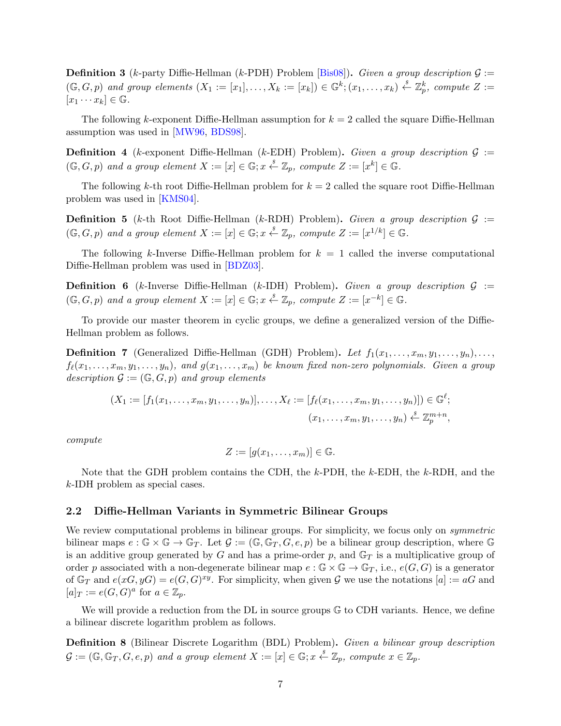**Definition 3** (*k*-party Diffie-Hellman (*k*-PDH) Problem [Bis08]). *Given a group description*  $\mathcal{G}$  :=  $(\mathbb{G},G,p)$  and group elements  $(X_1 := [x_1], \ldots, X_k := [x_k]) \in \mathbb{G}^k$ ;  $(x_1,\ldots,x_k) \stackrel{s}{\leftarrow} \mathbb{Z}_p^k$ , compute  $Z :=$  $[x_1 \cdots x_k] \in \mathbb{G}$ .

The following *k*-exponent Diffie-Hellman assumption for *k* = 2 called the square Diffie-Hellman assumption was used in [MW96, BDS98].

**Definition 4** (*k*-exponent Diffie-Hellman (*k*-EDH) Problem). *Given a group description*  $G$  :=  $(\mathbb{G}, G, p)$  and a group element  $X := [x] \in \mathbb{G}$ ;  $x \stackrel{s}{\leftarrow} \mathbb{Z}_p$ , compute  $Z := [x^k] \in \mathbb{G}$ .

The following *k*-th root Diffie-Hellman problem for  $k = 2$  called the square root Diffie-Hellman problem was used in [KMS04].

**Definition 5** (*k*-th Root Diffie-Hellman (*k*-RDH) Problem). *Given a group description*  $\mathcal{G}$  :=  $(\mathbb{G}, G, p)$  and a group element  $X := [x] \in \mathbb{G}$ ;  $x \stackrel{s}{\leftarrow} \mathbb{Z}_p$ , compute  $Z := [x^{1/k}] \in \mathbb{G}$ .

The following *k*-Inverse Diffie-Hellman problem for  $k = 1$  called the inverse computational Diffie-Hellman problem was used in [BDZ03].

**Definition 6** (*k*-Inverse Diffie-Hellman (*k*-IDH) Problem)**.** *Given a group description G* :=  $(\mathbb{G}, G, p)$  and a group element  $X := [x] \in \mathbb{G}$ ;  $x \stackrel{s}{\leftarrow} \mathbb{Z}_p$ , compute  $Z := [x^{-k}] \in \mathbb{G}$ .

To provide our master theorem in cyclic groups, we define a generalized version of the Diffie-Hellman problem as follows.

**Definition 7** (Generalized Diffie-Hellman (GDH) Problem). Let  $f_1(x_1, \ldots, x_m, y_1, \ldots, y_n), \ldots$  $f_{\ell}(x_1, \ldots, x_m, y_1, \ldots, y_n)$ , and  $g(x_1, \ldots, x_m)$  be known fixed non-zero polynomials. Given a group *description*  $\mathcal{G} := (\mathbb{G}, G, p)$  *and group elements* 

$$
(X_1 := [f_1(x_1, ..., x_m, y_1, ..., y_n)], ..., X_\ell := [f_\ell(x_1, ..., x_m, y_1, ..., y_n)]) \in \mathbb{G}^\ell;
$$
  

$$
(x_1, ..., x_m, y_1, ..., y_n) \stackrel{s}{\leftarrow} \mathbb{Z}_p^{m+n},
$$

*compute*

$$
Z := [g(x_1, \ldots, x_m)] \in \mathbb{G}.
$$

Note that the GDH problem contains the CDH, the *k*-PDH, the *k*-EDH, the *k*-RDH, and the *k*-IDH problem as special cases.

### **2.2 Diffie-Hellman Variants in Symmetric Bilinear Groups**

We review computational problems in bilinear groups. For simplicity, we focus only on *symmetric* bilinear maps  $e : \mathbb{G} \times \mathbb{G} \to \mathbb{G}_T$ . Let  $\mathcal{G} := (\mathbb{G}, \mathbb{G}_T, G, e, p)$  be a bilinear group description, where  $\mathbb{G}$ is an additive group generated by  $G$  and has a prime-order  $p$ , and  $\mathbb{G}_T$  is a multiplicative group of order *p* associated with a non-degenerate bilinear map  $e : \mathbb{G} \times \mathbb{G} \to \mathbb{G}_T$ , i.e.,  $e(G, G)$  is a generator of  $\mathbb{G}_T$  and  $e(xG, yG) = e(G, G)^{xy}$ . For simplicity, when given  $\mathcal G$  we use the notations  $[a] := aG$  and  $[a]_T := e(G, G)^a$  for  $a \in \mathbb{Z}_p$ .

We will provide a reduction from the  $DL$  in source groups  $G$  to CDH variants. Hence, we define a bilinear discrete logarithm problem as follows.

**Definition 8** (Bilinear Discrete Logarithm (BDL) Problem)**.** *Given a bilinear group description*  $\mathcal{G} := (\mathbb{G}, \mathbb{G}_T, G, e, p)$  and a group element  $X := [x] \in \mathbb{G}$ ;  $x \stackrel{s}{\leftarrow} \mathbb{Z}_p$ , compute  $x \in \mathbb{Z}_p$ .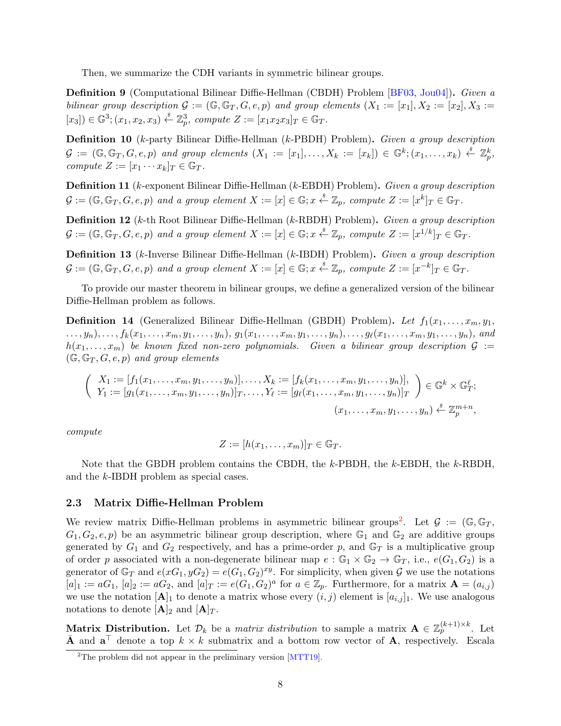Then, we summarize the CDH variants in symmetric bilinear groups.

**Definition 9** (Computational Bilinear Diffie-Hellman (CBDH) Problem [BF03, Jou04])**.** *Given a bilinear group description*  $G := (\mathbb{G}, \mathbb{G}_T, G, e, p)$  and group elements  $(X_1 := [x_1], X_2 := [x_2], X_3 :=$  $[x_3]$ )  $\in \mathbb{G}^3$ ;  $(x_1, x_2, x_3) \stackrel{s}{\leftarrow} \mathbb{Z}_p^3$ , compute  $Z := [x_1 x_2 x_3]_T \in \mathbb{G}_T$ .

**Definition 10** (*k*-party Bilinear Diffie-Hellman (*k*-PBDH) Problem)**.** *Given a group description*  $\mathcal{G} := (\mathbb{G}, \mathbb{G}_T, G, e, p)$  and group elements  $(X_1 := [x_1], \ldots, X_k := [x_k]) \in \mathbb{G}^k$ ;  $(x_1, \ldots, x_k) \stackrel{s}{\leftarrow} \mathbb{Z}_p^k$ , *compute*  $Z := [x_1 \cdots x_k]_T \in \mathbb{G}_T$ *.* 

**Definition 11** (*k*-exponent Bilinear Diffie-Hellman (*k*-EBDH) Problem)**.** *Given a group description*  $\mathcal{G} := (\mathbb{G}, \mathbb{G}_T, G, e, p)$  and a group element  $X := [x] \in \mathbb{G}; x \stackrel{s}{\leftarrow} \mathbb{Z}_p$ , compute  $Z := [x^k]_T \in \mathbb{G}_T$ .

**Definition 12** (*k*-th Root Bilinear Diffie-Hellman (*k*-RBDH) Problem)**.** *Given a group description*  $\mathcal{G} := (\mathbb{G}, \mathbb{G}_T, G, e, p)$  and a group element  $X := [x] \in \mathbb{G}$ ;  $x \stackrel{s}{\leftarrow} \mathbb{Z}_p$ , compute  $Z := [x^{1/k}]_T \in \mathbb{G}_T$ .

**Definition 13** (*k*-Inverse Bilinear Diffie-Hellman (*k*-IBDH) Problem)**.** *Given a group description*  $\mathcal{G} := (\mathbb{G}, \mathbb{G}_T, G, e, p)$  and a group element  $X := [x] \in \mathbb{G}; x \stackrel{s}{\leftarrow} \mathbb{Z}_p$ , compute  $Z := [x^{-k}]_T \in \mathbb{G}_T$ .

To provide our master theorem in bilinear groups, we define a generalized version of the bilinear Diffie-Hellman problem as follows.

**Definition 14** (Generalized Bilinear Diffie-Hellman (GBDH) Problem). Let  $f_1(x_1, \ldots, x_m, y_1,$  $..., y_n),..., f_k(x_1,...,x_m,y_1,...,y_n), g_1(x_1,...,x_m,y_1,...,y_n),..., g_\ell(x_1,...,x_m,y_1,...,y_n),$  and  $h(x_1, \ldots, x_m)$  be known fixed non-zero polynomials. Given a bilinear group description  $\mathcal{G}$  :=  $(G, \mathbb{G}_T, G, e, p)$  *and group elements* 

$$
\begin{pmatrix}\nX_1 := [f_1(x_1, \ldots, x_m, y_1, \ldots, y_n)], \ldots, X_k := [f_k(x_1, \ldots, x_m, y_1, \ldots, y_n)], \\
Y_1 := [g_1(x_1, \ldots, x_m, y_1, \ldots, y_n)]_T, \ldots, Y_\ell := [g_\ell(x_1, \ldots, x_m, y_1, \ldots, y_n)]_T\n\end{pmatrix} \in \mathbb{G}^k \times \mathbb{G}_T^\ell;
$$
\n
$$
(x_1, \ldots, x_m, y_1, \ldots, y_n) \stackrel{s}{\leftarrow} \mathbb{Z}_p^{m+n},
$$

*compute*

$$
Z := [h(x_1, \ldots, x_m)]_T \in \mathbb{G}_T.
$$

Note that the GBDH problem contains the CBDH, the *k*-PBDH, the *k*-EBDH, the *k*-RBDH, and the *k*-IBDH problem as special cases.

### **2.3 Matrix Diffie-Hellman Problem**

We review matrix Diffie-Hellman problems in asymmetric bilinear groups<sup>2</sup>. Let  $\mathcal{G} := (\mathbb{G}, \mathbb{G}_T,$  $G_1, G_2, e, p$  be an asymmetric bilinear group description, where  $\mathbb{G}_1$  and  $\mathbb{G}_2$  are additive groups generated by  $G_1$  and  $G_2$  respectively, and has a prime-order  $p$ , and  $G_T$  is a multiplicative group of order *p* associated with a non-degenerate bilinear map  $e : \mathbb{G}_1 \times \mathbb{G}_2 \to \mathbb{G}_T$ , i.e.,  $e(G_1, G_2)$  is a generator of  $\mathbb{G}_T$  and  $e(xG_1, yG_2) = e(G_1, G_2)^{xy}$ . For simplicity, when given  $\mathcal G$  we use the notations  $[a]_1 := aG_1$ ,  $[a]_2 := aG_2$ , and  $[a]_T := e(G_1, G_2)^a$  for  $a \in \mathbb{Z}_p$ . Furthermore, for a matrix  $\mathbf{A} = (a_{i,j})$ we use the notation  $[A]_1$  to denote a matrix whose every  $(i, j)$  element is  $[a_{i,j}]_1$ . We use analogous notations to denote  $[\mathbf{A}]_2$  and  $[\mathbf{A}]_T$ .

**Matrix Distribution.** Let  $\mathcal{D}_k$  be a *matrix distribution* to sample a matrix  $\mathbf{A} \in \mathbb{Z}_p^{(k+1)\times k}$ . Let **A** and  $\mathbf{a}^\top$  denote a top *k*  $\times$  *k* submatrix and a bottom row vector of **A**, respectively. Escala

<sup>&</sup>lt;sup>2</sup>The problem did not appear in the preliminary version  $[MTT19]$ .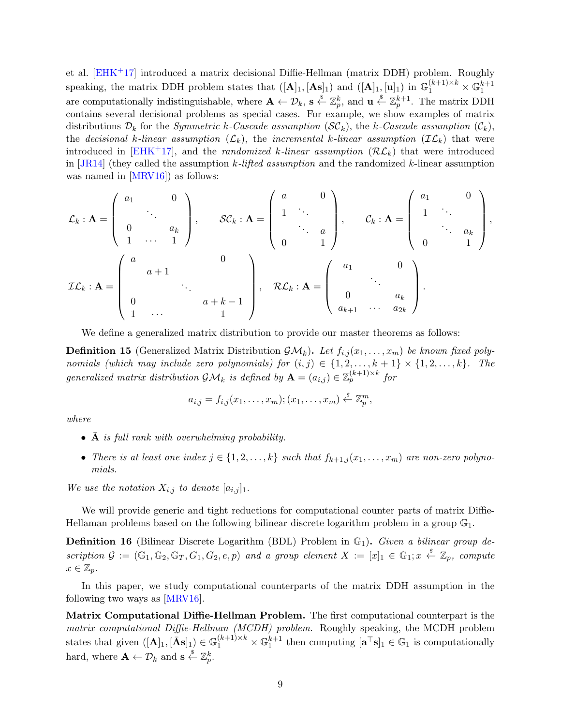et al. [EHK+17] introduced a matrix decisional Diffie-Hellman (matrix DDH) problem. Roughly speaking, the matrix DDH problem states that  $([\mathbf{A}]_1, [\mathbf{A} s]_1)$  and  $([\mathbf{A}]_1, [\mathbf{u}]_1)$  in  $\mathbb{G}_1^{(k+1)\times k} \times \mathbb{G}_1^{k+1}$ are computationally indistinguishable, where  $\mathbf{A} \leftarrow \mathcal{D}_k$ ,  $\mathbf{s} \leftarrow \mathbb{Z}_p^k$ , and  $\mathbf{u} \leftarrow \mathbb{Z}_p^{k+1}$ . The matrix DDH contains several decisional problems as special cases. For example, we show examples of matrix distributions  $\mathcal{D}_k$  for the *Symmetric k-Cascade assumption*  $(\mathcal{SC}_k)$ , the *k-Cascade assumption*  $(\mathcal{C}_k)$ , the *decisional k*-linear assumption  $(L_k)$ , the incremental *k*-linear assumption  $(\mathcal{IL}_k)$  that were introduced in [EHK<sup>+</sup>17], and the *randomized k*-linear assumption  $(\mathcal{RL}_k)$  that were introduced in [JR14] (they called the assumption *k-lifted assumption* and the randomized *k*-linear assumption was named in [MRV16]) as follows:

$$
\mathcal{L}_k : \mathbf{A} = \begin{pmatrix} a_1 & 0 \\ & \ddots & \\ 0 & a_k \\ 1 & \cdots & 1 \end{pmatrix}, \quad \mathcal{SC}_k : \mathbf{A} = \begin{pmatrix} a & 0 \\ 1 & \ddots & \\ & \ddots & a \\ 0 & 1 \end{pmatrix}, \quad \mathcal{C}_k : \mathbf{A} = \begin{pmatrix} a_1 & 0 \\ 1 & \ddots & \\ & \ddots & a_k \\ 0 & 1 \end{pmatrix},
$$
\n
$$
\mathcal{IL}_k : \mathbf{A} = \begin{pmatrix} a & 0 & \\ & a+1 & \\ 0 & a+k-1 & \\ 1 & \cdots & 1 \end{pmatrix}, \quad \mathcal{RL}_k : \mathbf{A} = \begin{pmatrix} a_1 & 0 & \\ & \ddots & \\ & & \ddots & \\ & & & a_k \\ a_{k+1} & \cdots & a_{2k} \end{pmatrix}.
$$

We define a generalized matrix distribution to provide our master theorems as follows:

**Definition 15** (Generalized Matrix Distribution  $\mathcal{GM}_k$ ). Let  $f_{i,j}(x_1,\ldots,x_m)$  be known fixed poly*nomials (which may include zero polynomials) for*  $(i, j) \in \{1, 2, \ldots, k + 1\} \times \{1, 2, \ldots, k\}$ *. The generalized matrix distribution*  $\mathcal{GM}_k$  *is defined by*  $\mathbf{A} = (a_{i,j}) \in \mathbb{Z}_p^{(k+1) \times k}$  for

$$
a_{i,j}=f_{i,j}(x_1,\ldots,x_m); (x_1,\ldots,x_m)\stackrel{s}{\leftarrow}\mathbb{Z}_p^m,
$$

*where*

- **A** *is full rank with overwhelming probability.*
- *There is at least one index*  $j \in \{1, 2, \ldots, k\}$  *such that*  $f_{k+1,j}(x_1, \ldots, x_m)$  *are non-zero polynomials.*

We use the notation  $X_{i,j}$  to denote  $[a_{i,j}]_1$ .

We will provide generic and tight reductions for computational counter parts of matrix Diffie-Hellaman problems based on the following bilinear discrete logarithm problem in a group  $\mathbb{G}_1$ .

**Definition 16** (Bilinear Discrete Logarithm (BDL) Problem in  $\mathbb{G}_1$ ). *Given a bilinear group de* $scription \mathcal{G} := (\mathbb{G}_1, \mathbb{G}_2, \mathbb{G}_T, G_1, G_2, e, p)$  and a group element  $X := [x]_1 \in \mathbb{G}_1; x \stackrel{s}{\leftarrow} \mathbb{Z}_p$ , compute  $x \in \mathbb{Z}_p$ *.* 

In this paper, we study computational counterparts of the matrix DDH assumption in the following two ways as [MRV16].

**Matrix Computational Diffie-Hellman Problem.** The first computational counterpart is the *matrix computational Diffie-Hellman (MCDH) problem*. Roughly speaking, the MCDH problem states that given  $([\mathbf{A}]_1, [\bar{\mathbf{A}}\mathbf{s}]_1) \in \mathbb{G}_1^{(k+1)\times k} \times \mathbb{G}_1^{k+1}$  then computing  $[\mathbf{a}^\top \mathbf{s}]_1 \in \mathbb{G}_1$  is computationally hard, where  $\mathbf{A} \leftarrow \mathcal{D}_k$  and  $\mathbf{s} \stackrel{\$}{\leftarrow} \mathbb{Z}_p^k$ .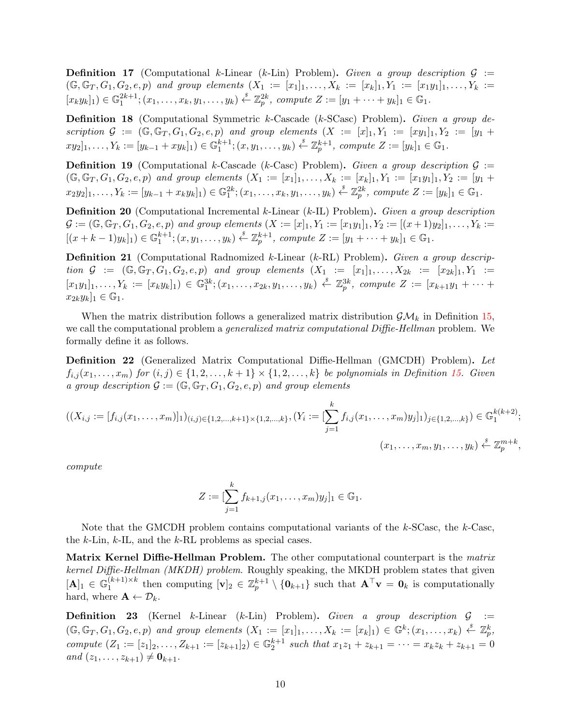**Definition 17** (Computational *k*-Linear (*k*-Lin) Problem)**.** *Given a group description G* :=  $(G, \mathbb{G}_T, G_1, G_2, e, p)$  and group elements  $(X_1 := [x_1]_1, \ldots, X_k := [x_k]_1, Y_1 := [x_1y_1]_1, \ldots, Y_k := [x_k]_1, Y_1$  $[x_k y_k]_1 \in \mathbb{G}_1^{2k+1}; (x_1, \ldots, x_k, y_1, \ldots, y_k) \stackrel{s}{\leftarrow} \mathbb{Z}_p^{2k}$ , compute  $Z := [y_1 + \cdots + y_k]_1 \in \mathbb{G}_1$ .

**Definition 18** (Computational Symmetric *k*-Cascade (*k*-SCasc) Problem)**.** *Given a group description*  $G := (\mathbb{G}, \mathbb{G}_T, G_1, G_2, e, p)$  *and group elements*  $(X := [x]_1, Y_1 := [xy_1]_1, Y_2 := [y_1 +$  $xy_2]_1, \ldots, Y_k := [y_{k-1} + xy_k]_1) \in \mathbb{G}_1^{k+1}; (x, y_1, \ldots, y_k) \stackrel{s}{\leftarrow} \mathbb{Z}_p^{k+1}, \text{ compute } Z := [y_k]_1 \in \mathbb{G}_1.$ 

**Definition 19** (Computational *k*-Cascade (*k*-Casc) Problem). *Given a group description*  $\mathcal{G}$  :=  $(\mathbb{G}, \mathbb{G}_T, G_1, G_2, e, p)$  and group elements  $(X_1 := [x_1]_1, \ldots, X_k := [x_k]_1, Y_1 := [x_1y_1]_1, Y_2 := [y_1 +$  $x_2y_2]_1, \ldots, Y_k := [y_{k-1} + x_ky_k]_1) \in \mathbb{G}_1^{2k}; (x_1, \ldots, x_k, y_1, \ldots, y_k) \stackrel{s}{\leftarrow} \mathbb{Z}_p^{2k}, \text{ compute } Z := [y_k]_1 \in \mathbb{G}_1.$ 

**Definition 20** (Computational Incremental *k*-Linear (*k*-IL) Problem)**.** *Given a group description*  $\mathcal{G} := (\mathbb{G}, \mathbb{G}_T, G_1, G_2, e, p)$  and group elements  $(X := [x]_1, Y_1 := [x_1y_1]_1, Y_2 := [(x+1)y_2]_1, \ldots, Y_k :=$  $[(x+k-1)y_k]_1) \in \mathbb{G}_1^{k+1}$ ;  $(x, y_1, \ldots, y_k) \stackrel{s}{\leftarrow} \mathbb{Z}_p^{k+1}$ , compute  $Z := [y_1 + \cdots + y_k]_1 \in \mathbb{G}_1$ .

**Definition 21** (Computational Radnomized *k*-Linear (*k*-RL) Problem)**.** *Given a group description*  $G := (\mathbb{G}, \mathbb{G}_T, G_1, G_2, e, p)$  *and group elements*  $(X_1 := [x_1]_1, \ldots, X_{2k} := [x_{2k}]_1, Y_1 :=$  $[x_1y_1]_1, \ldots, Y_k := [x_ky_k]_1 \in \mathbb{G}_1^{3k}; (x_1, \ldots, x_{2k}, y_1, \ldots, y_k) \stackrel{s}{\leftarrow} \mathbb{Z}_p^{3k}, \text{ compute } Z := [x_{k+1}y_1 + \cdots + y_k]$  $x_{2k}y_k]_1 \in \mathbb{G}_1$ .

When the matrix distribution follows a generalized matrix distribution  $\mathcal{GM}_k$  in Definition 15, we call the computational problem a *generalized matrix computational Diffie-Hellman* problem. We formally define it as follows.

**Definition 22** (Generalized Matrix Computational Diffie-Hellman (GMCDH) Problem)**.** *Let*  $f_{i,j}(x_1,\ldots,x_m)$  for  $(i,j) \in \{1,2,\ldots,k+1\} \times \{1,2,\ldots,k\}$  be polynomials in Definition 15. Given *a group description*  $G := (\mathbb{G}, \mathbb{G}_T, G_1, G_2, e, p)$  *and group elements* 

$$
((X_{i,j} := [f_{i,j}(x_1,\ldots,x_m)]_1)_{(i,j)\in\{1,2,\ldots,k+1\}\times\{1,2,\ldots,k\}}, (Y_i := [\sum_{j=1}^k f_{i,j}(x_1,\ldots,x_m)y_j]_1)_{j\in\{1,2,\ldots,k\}}) \in \mathbb{G}_1^{k(k+2)};
$$
  

$$
(x_1,\ldots,x_m,y_1,\ldots,y_k) \stackrel{s}{\leftarrow} \mathbb{Z}_p^{m+k},
$$

*compute*

$$
Z := [\sum_{j=1}^{k} f_{k+1,j}(x_1,\ldots,x_m)y_j]_1 \in \mathbb{G}_1.
$$

Note that the GMCDH problem contains computational variants of the *k*-SCasc, the *k*-Casc, the *k*-Lin, *k*-IL, and the *k*-RL problems as special cases.

**Matrix Kernel Diffie-Hellman Problem.** The other computational counterpart is the *matrix kernel Diffie-Hellman (MKDH) problem*. Roughly speaking, the MKDH problem states that given  $[\mathbf{A}]_1 \in \mathbb{G}_1^{(k+1)\times k}$  $\mathbf{I}_{1}^{(k+1)\times k}$  then computing  $[\mathbf{v}]_2 \in \mathbb{Z}_p^{k+1} \setminus {\mathbf{0}_{k+1}}$  such that  $\mathbf{A}^\top \mathbf{v} = \mathbf{0}_k$  is computationally hard, where  $\mathbf{A} \leftarrow \mathcal{D}_k$ .

**Definition 23** (Kernel *k*-Linear (*k*-Lin) Problem). *Given a group description*  $G :=$  $(\mathbb{G}, \mathbb{G}_T, G_1, G_2, e, p)$  and group elements  $(X_1 := [x_1]_1, \ldots, X_k := [x_k]_1) \in \mathbb{G}^k$ ;  $(x_1, \ldots, x_k) \stackrel{s}{\leftarrow} \mathbb{Z}_p^k$ , compute  $(Z_1 := [z_1]_2, \ldots, Z_{k+1} := [z_{k+1}]_2) \in \mathbb{G}_2^{k+1}$  such that  $x_1z_1 + z_{k+1} = \cdots = x_kz_k + z_{k+1} = 0$  $and (z_1, \ldots, z_{k+1}) \neq \mathbf{0}_{k+1}.$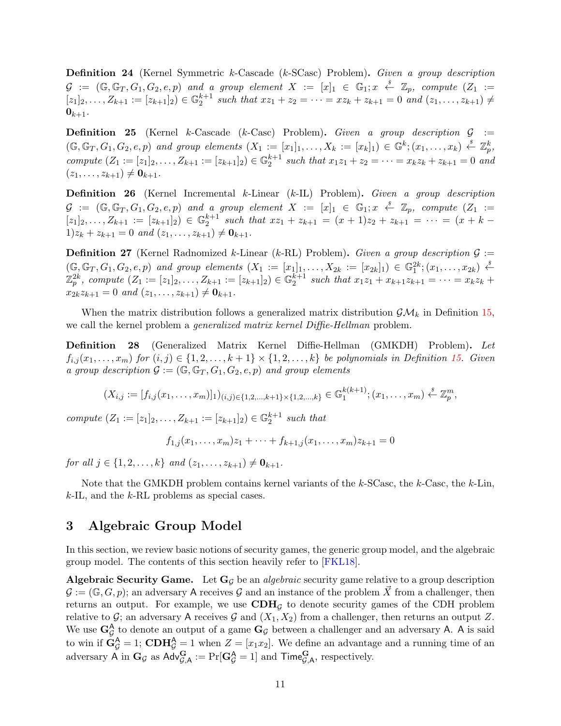**Definition 24** (Kernel Symmetric *k*-Cascade (*k*-SCasc) Problem)**.** *Given a group description*  $\mathcal{G}$  :=  $(\mathbb{G}, \mathbb{G}_T, G_1, G_2, e, p)$  and a group element  $X$  :=  $[x]_1 \in \mathbb{G}_1; x \stackrel{s}{\leftarrow} \mathbb{Z}_p$ , compute  $(Z_1)$  :=  $[z_1]_2, \ldots, Z_{k+1} := [z_{k+1}]_2 \in \mathbb{G}_2^{k+1}$  such that  $xz_1 + z_2 = \cdots = xz_k + z_{k+1} = 0$  and  $(z_1, \ldots, z_{k+1}) \neq$  $0_{k+1}$ .

**Definition 25** (Kernel *k*-Cascade (*k*-Casc) Problem)**.** *Given a group description G* :=  $(\mathbb{G}, \mathbb{G}_T, G_1, G_2, e, p)$  and group elements  $(X_1 := [x_1]_1, \ldots, X_k := [x_k]_1) \in \mathbb{G}^k$ ;  $(x_1, \ldots, x_k) \stackrel{s}{\leftarrow} \mathbb{Z}_p^k$ , compute  $(Z_1 := [z_1]_2, \ldots, Z_{k+1} := [z_{k+1}]_2) \in \mathbb{G}_2^{k+1}$  such that  $x_1z_1 + z_2 = \cdots = x_kz_k + z_{k+1} = 0$  and  $(z_1, \ldots, z_{k+1}) \neq \mathbf{0}_{k+1}.$ 

**Definition 26** (Kernel Incremental *k*-Linear (*k*-IL) Problem)**.** *Given a group description*  $\mathcal{G}$  :=  $(\mathbb{G}, \mathbb{G}_T, G_1, G_2, e, p)$  and a group element  $X$  :=  $[x]_1 \in \mathbb{G}_1; x \stackrel{s}{\leftarrow} \mathbb{Z}_p$ , compute  $(Z_1)$  :=  $[z_1]_2, \ldots, Z_{k+1} := [z_{k+1}]_2 \in \mathbb{G}_2^{k+1}$  such that  $xz_1 + z_{k+1} = (x+1)z_2 + z_{k+1} = \cdots = (x+k-1)z_k$  $1)z_k + z_{k+1} = 0$  and  $(z_1, \ldots, z_{k+1}) \neq \mathbf{0}_{k+1}$ .

**Definition 27** (Kernel Radnomized *k*-Linear (*k*-RL) Problem). *Given a group description*  $\mathcal{G}$  :=  $(\mathbb{G}, \mathbb{G}_T, G_1, G_2, e, p)$  and group elements  $(X_1 := [x_1]_1, \ldots, X_{2k} := [x_{2k}]_1) \in \mathbb{G}_1^{2k}; (x_1, \ldots, x_{2k}) \stackrel{s}{\leftarrow}$  $\mathbb{Z}_p^{2k}$ , compute  $(Z_1 := [z_1]_2, \ldots, Z_{k+1} := [z_{k+1}]_2) \in \mathbb{G}_2^{k+1}$  such that  $x_1z_1 + x_{k+1}z_{k+1} = \cdots = x_kz_k +$  $x_{2k}z_{k+1} = 0$  *and*  $(z_1, \ldots, z_{k+1}) \neq \mathbf{0}_{k+1}$ .

When the matrix distribution follows a generalized matrix distribution  $\mathcal{GM}_k$  in Definition 15, we call the kernel problem a *generalized matrix kernel Diffie-Hellman* problem.

**Definition 28** (Generalized Matrix Kernel Diffie-Hellman (GMKDH) Problem)**.** *Let*  $f_{i,j}(x_1,\ldots,x_m)$  for  $(i,j) \in \{1,2,\ldots,k+1\} \times \{1,2,\ldots,k\}$  be polynomials in Definition 15. Given *a group description*  $\mathcal{G} := (\mathbb{G}, \mathbb{G}_T, G_1, G_2, e, p)$  *and group elements* 

$$
(X_{i,j}:=[f_{i,j}(x_1,\ldots,x_m)]_1)_{(i,j)\in\{1,2,\ldots,k+1\}\times\{1,2,\ldots,k\}}\in\mathbb{G}_1^{k(k+1)};(x_1,\ldots,x_m)\stackrel{\$}{\leftarrow}\mathbb{Z}_p^m,
$$

*compute*  $(Z_1 := [z_1]_2, \ldots, Z_{k+1} := [z_{k+1}]_2) \in \mathbb{G}_2^{k+1}$  such that

 $f_{1,i}(x_1,\ldots,x_m)z_1+\cdots+f_{k+1,i}(x_1,\ldots,x_m)z_{k+1}=0$ 

*for all*  $j \in \{1, 2, \ldots, k\}$  *and*  $(z_1, \ldots, z_{k+1}) \neq \mathbf{0}_{k+1}$ .

Note that the GMKDH problem contains kernel variants of the *k*-SCasc, the *k*-Casc, the *k*-Lin, *k*-IL, and the *k*-RL problems as special cases.

# **3 Algebraic Group Model**

In this section, we review basic notions of security games, the generic group model, and the algebraic group model. The contents of this section heavily refer to [FKL18].

**Algebraic Security Game.** Let **G***<sup>G</sup>* be an *algebraic* security game relative to a group description  $G = (\mathbb{G}, G, p)$ ; an adversary A receives G and an instance of the problem X from a challenger, then returns an output. For example, we use  $CDH<sub>G</sub>$  to denote security games of the CDH problem relative to  $G$ ; an adversary A receives  $G$  and  $(X_1, X_2)$  from a challenger, then returns an output  $Z$ . We use  $G_{\mathcal{G}}^{\mathsf{A}}$  to denote an output of a game  $G_{\mathcal{G}}$  between a challenger and an adversary A. A is said to win if  $\mathbf{G}_{\mathcal{G}}^{\mathbf{A}} = 1$ ;  $\mathbf{CDH}_{\mathcal{G}}^{\mathbf{A}} = 1$  when  $Z = [x_1 x_2]$ . We define an advantage and a running time of an adversary  $\mathsf{A}$  in  $\mathbf{G}_{\mathcal{G}}$  as  $\mathsf{Adv}_{\mathcal{G},\mathsf{A}}^{\mathbf{G}} := \Pr[\mathbf{G}_{\mathcal{G}}^{\mathsf{A}} = 1]$  and  $\mathsf{Time}_{\mathcal{G},\mathsf{A}}^{\mathbf{G}},$  respectively.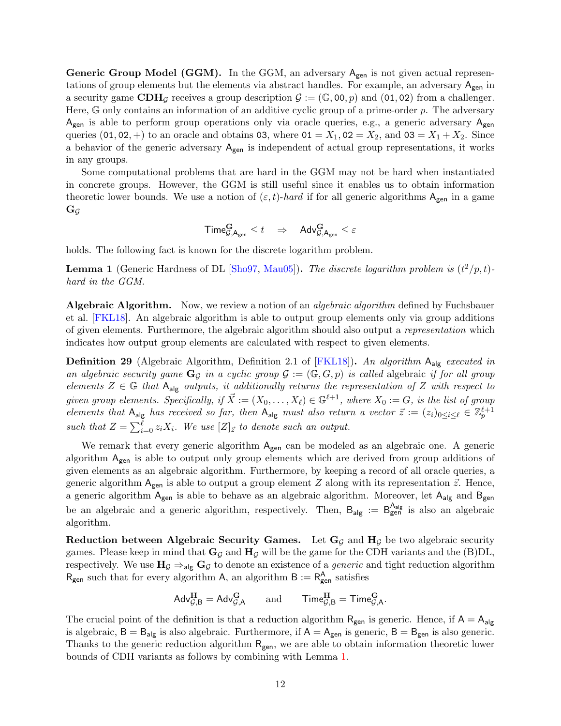**Generic Group Model (GGM).** In the GGM, an adversary  $A_{gen}$  is not given actual representations of group elements but the elements via abstract handles. For example, an adversary  $A_{gen}$  in a security game  $CDH_G$  receives a group description  $G := (\mathbb{G}, 00, p)$  and (01,02) from a challenger. Here, G only contains an information of an additive cyclic group of a prime-order *p*. The adversary  $A_{gen}$  is able to perform group operations only via oracle queries, e.g., a generic adversary  $A_{gen}$ queries (01, 02, +) to an oracle and obtains 03, where  $01 = X_1, 02 = X_2$ , and  $03 = X_1 + X_2$ . Since a behavior of the generic adversary  $A_{gen}$  is independent of actual group representations, it works in any groups.

Some computational problems that are hard in the GGM may not be hard when instantiated in concrete groups. However, the GGM is still useful since it enables us to obtain information theoretic lower bounds. We use a notion of  $(\varepsilon, t)$ -*hard* if for all generic algorithms  $A_{gen}$  in a game  $\mathbf{G}_{\mathcal{G}}$ 

$$
\mathsf{Time}^{\mathbf{G}}_{\mathcal{G}, \mathsf{A}_\mathsf{gen}} \leq t \quad \Rightarrow \quad \mathsf{Adv}^{\mathbf{G}}_{\mathcal{G}, \mathsf{A}_\mathsf{gen}} \leq \varepsilon
$$

holds. The following fact is known for the discrete logarithm problem.

**Lemma 1** (Generic Hardness of DL [Sho97, Mau05]). The discrete logarithm problem is  $(t^2/p, t)$ *hard in the GGM.*

**Algebraic Algorithm.** Now, we review a notion of an *algebraic algorithm* defined by Fuchsbauer et al. [FKL18]. An algebraic algorithm is able to output group elements only via group additions of given elements. Furthermore, the algebraic algorithm should also output a *representation* which indicates how output group elements are calculated with respect to given elements.

**Definition 29** (Algebraic Algorithm, Definition 2.1 of [FKL18])**.** *An algorithm* Aalg *executed in* an algebraic security game  $\mathbf{G}_{\mathcal{G}}$  in a cyclic group  $\mathcal{G} := (\mathbb{G}, G, p)$  is called algebraic *if for all group elements*  $Z \in \mathbb{G}$  *that*  $A_{alg}$  *outputs, it additionally returns the representation of*  $Z$  *with respect to given group elements. Specifically, if*  $\vec{X} := (X_0, \ldots, X_\ell) \in \mathbb{G}^{\ell+1}$ *, where*  $X_0 := G$ *, is the list of group elements that*  $A_{alg}$  *has received so far, then*  $A_{alg}$  *must also return a vector*  $\vec{z} := (z_i)_{0 \leq i \leq \ell} \in \mathbb{Z}_p^{\ell+1}$ *such that*  $Z = \sum_{i=0}^{\ell} z_i X_i$ . We use  $[Z]_{\vec{z}}$  to denote such an output.

We remark that every generic algorithm  $A_{gen}$  can be modeled as an algebraic one. A generic algorithm  $A_{gen}$  is able to output only group elements which are derived from group additions of given elements as an algebraic algorithm. Furthermore, by keeping a record of all oracle queries, a generic algorithm  $A_{gen}$  is able to output a group element *Z* along with its representation  $\vec{z}$ . Hence, a generic algorithm  $A_{gen}$  is able to behave as an algebraic algorithm. Moreover, let  $A_{alg}$  and  $B_{gen}$ be an algebraic and a generic algorithm, respectively. Then,  $B_{alg} := B_{gen}^{A_{alg}}$  is also an algebraic algorithm.

**Reduction between Algebraic Security Games.** Let  $\mathbf{G}_G$  and  $\mathbf{H}_G$  be two algebraic security games. Please keep in mind that  $\mathbf{G}_G$  and  $\mathbf{H}_G$  will be the game for the CDH variants and the (B)DL, respectively. We use  $H_{\mathcal{G}} \Rightarrow_{\text{alg}} G_{\mathcal{G}}$  to denote an existence of a *generic* and tight reduction algorithm  $R_{gen}$  such that for every algorithm A, an algorithm  $B := R_{gen}^A$  satisfies

$$
\mathsf{Adv}^{\mathbf{H}}_{\mathcal{G},B} = \mathsf{Adv}^{\mathbf{G}}_{\mathcal{G},A} \qquad \text{and} \qquad \mathsf{Time}^{\mathbf{H}}_{\mathcal{G},B} = \mathsf{Time}^{\mathbf{G}}_{\mathcal{G},A}.
$$

The crucial point of the definition is that a reduction algorithm  $R_{gen}$  is generic. Hence, if  $A = A_{alg}$ is algebraic,  $B = B_{alg}$  is also algebraic. Furthermore, if  $A = A_{gen}$  is generic,  $B = B_{gen}$  is also generic. Thanks to the generic reduction algorithm  $R_{gen}$ , we are able to obtain information theoretic lower bounds of CDH variants as follows by combining with Lemma 1.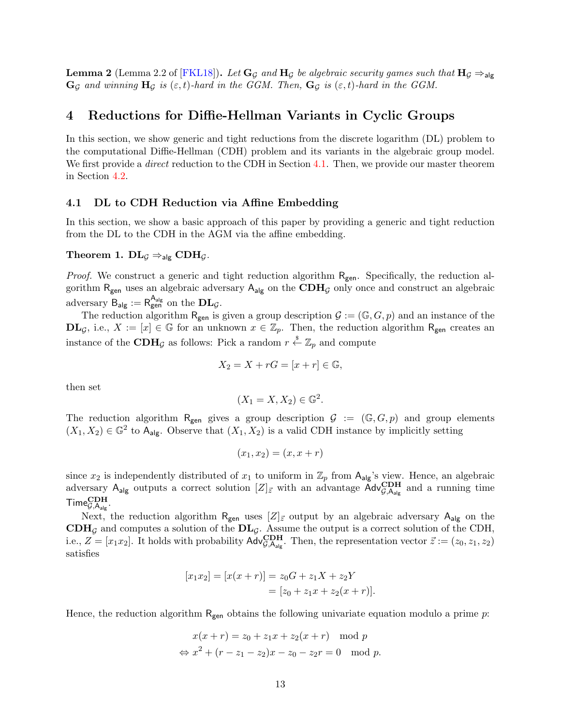**Lemma 2** (Lemma 2.2 of [FKL18]). *Let*  $\mathbf{G}_\mathcal{G}$  *and*  $\mathbf{H}_\mathcal{G}$  *be algebraic security games such that*  $\mathbf{H}_\mathcal{G} \Rightarrow_{\mathsf{alg}}$  $\mathbf{G}_{\mathcal{G}}$  *and winning*  $\mathbf{H}_{\mathcal{G}}$  *is* ( $\varepsilon$ ,*t*)*-hard in the GGM.* Then,  $\mathbf{G}_{\mathcal{G}}$  *is* ( $\varepsilon$ ,*t*)*-hard in the GGM.* 

## **4 Reductions for Diffie-Hellman Variants in Cyclic Groups**

In this section, we show generic and tight reductions from the discrete logarithm (DL) problem to the computational Diffie-Hellman (CDH) problem and its variants in the algebraic group model. We first provide a *direct* reduction to the CDH in Section 4.1. Then, we provide our master theorem in Section 4.2.

### **4.1 DL to CDH Reduction via Affine Embedding**

In this section, we show a basic approach of this paper by providing a generic and tight reduction from the DL to the CDH in the AGM via the affine embedding.

## **Theorem 1.**  $\mathbf{DL}_{\mathcal{G}} \Rightarrow_{\mathsf{alg}} \mathbf{CDH}_{\mathcal{G}}$ .

*Proof.* We construct a generic and tight reduction algorithm R<sub>gen</sub>. Specifically, the reduction algorithm Rgen uses an algebraic adversary Aalg on the **CDH***<sup>G</sup>* only once and construct an algebraic adversary  $B_{\mathsf{alg}} := R_{\mathsf{gen}}^{\mathsf{A}_{\mathsf{alg}}}$  on the  $\mathbf{DL}_\mathcal{G}$ .

The reduction algorithm  $R_{gen}$  is given a group description  $\mathcal{G} := (\mathbb{G}, G, p)$  and an instance of the **DL**<sub>*G*</sub>, i.e., *X* := [*x*] ∈ *G* for an unknown *x* ∈  $\mathbb{Z}_p$ . Then, the reduction algorithm R<sub>gen</sub> creates an instance of the  $CDH_{\mathcal{G}}$  as follows: Pick a random  $r \stackrel{s}{\leftarrow} \mathbb{Z}_p$  and compute

$$
X_2 = X + rG = [x + r] \in \mathbb{G},
$$

then set

$$
(X_1 = X, X_2) \in \mathbb{G}^2.
$$

The reduction algorithm R<sub>gen</sub> gives a group description  $\mathcal{G} := (\mathbb{G}, G, p)$  and group elements  $(X_1, X_2) \in \mathbb{G}^2$  to A<sub>alg</sub>. Observe that  $(X_1, X_2)$  is a valid CDH instance by implicitly setting

$$
(x_1, x_2) = (x, x + r)
$$

since  $x_2$  is independently distributed of  $x_1$  to uniform in  $\mathbb{Z}_p$  from  $A_{\text{alg}}$ 's view. Hence, an algebraic adversary  $A_{alg}$  outputs a correct solution  $[Z]_{\vec{z}}$  with an advantage  $\text{Adv}_{\mathcal{G},A_{alg}}^{\text{CDH}}$  and a running time  $\mathsf{Time}_{\mathcal{G},\mathsf{A}_{\mathsf{alg}}}^{\mathbf{CDH}}$ .

Next, the reduction algorithm R<sub>gen</sub> uses  $[Z]_{\vec{z}}$  output by an algebraic adversary A<sub>alg</sub> on the  $CDH<sub>G</sub>$  and computes a solution of the  $DL<sub>G</sub>$ . Assume the output is a correct solution of the CDH, i.e.,  $Z = [x_1 x_2]$ . It holds with probability  $\mathsf{Adv}_{\mathcal{G},\mathsf{A}_{\mathsf{alg}}}^{\mathbf{CDH}}$ . Then, the representation vector  $\vec{z} := (z_0, z_1, z_2)$ satisfies

$$
[x_1x_2] = [x(x+r)] = z_0G + z_1X + z_2Y
$$
  
=  $[z_0 + z_1x + z_2(x+r)].$ 

Hence, the reduction algorithm  $R_{gen}$  obtains the following univariate equation modulo a prime *p*:

$$
x(x + r) = z_0 + z_1 x + z_2(x + r) \mod p
$$
  
\n
$$
\Leftrightarrow x^2 + (r - z_1 - z_2)x - z_0 - z_2r = 0 \mod p.
$$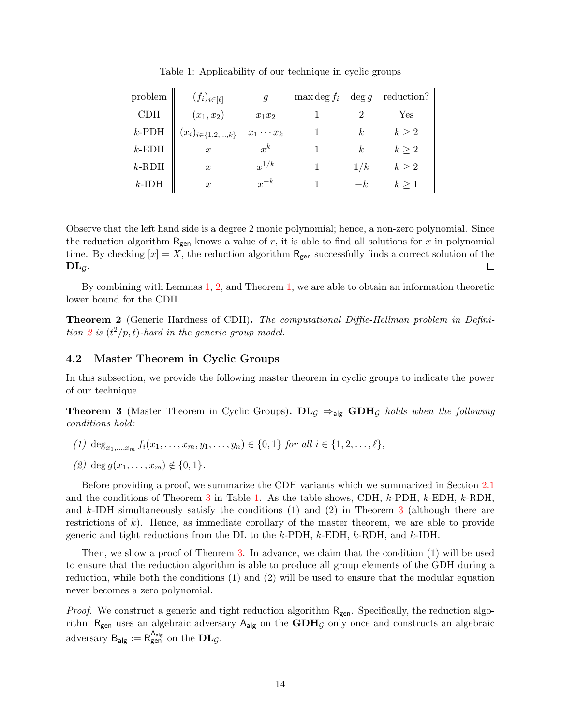| problem  | $(f_i)_{i\in[\ell]}$       | g                | $\max$ deg $f_i$ | $\deg g$ | reduction? |
|----------|----------------------------|------------------|------------------|----------|------------|
| CDH      | $(x_1, x_2)$               | $x_1x_2$         |                  |          | Yes        |
| $k$ -PDH | $(x_i)_{i \in \{1,2,,k\}}$ | $x_1 \cdots x_k$ |                  | k.       | $k\geq 2$  |
| $k$ -EDH | $\boldsymbol{x}$           | $x^k$            |                  | k.       | $k\geq 2$  |
| $k$ -RDH | $\boldsymbol{x}$           | $x^{1/k}$        |                  | 1/k      | $k \geq 2$ |
| $k$ -IDH | $\boldsymbol{x}$           | $x^{-k}$         |                  | $-k$     | $k \geq 1$ |

Table 1: Applicability of our technique in cyclic groups

Observe that the left hand side is a degree 2 monic polynomial; hence, a non-zero polynomial. Since the reduction algorithm  $R_{gen}$  knows a value of  $r$ , it is able to find all solutions for  $x$  in polynomial time. By checking  $[x] = X$ , the reduction algorithm R<sub>gen</sub> successfully finds a correct solution of the  $\mathbf{DL}_G$ .  $\Box$ 

By combining with Lemmas 1, 2, and Theorem 1, we are able to obtain an information theoretic lower bound for the CDH.

**Theorem 2** (Generic Hardness of CDH)**.** *The computational Diffie-Hellman problem in Definition* 2 *is*  $(t^2/p, t)$ *-hard in the generic group model.* 

### **4.2 Master Theorem in Cyclic Groups**

In this subsection, we provide the following master theorem in cyclic groups to indicate the power of our technique.

**Theorem 3** (Master Theorem in Cyclic Groups).  $\mathbf{DL}_\mathcal{G} \Rightarrow_{\mathsf{alg}} \mathbf{GDH}_\mathcal{G}$  holds when the following *conditions hold:*

- (1) deg<sub> $x_1, ..., x_m$ </sub>  $f_i(x_1, ..., x_m, y_1, ..., y_n) \in \{0, 1\}$  for all  $i \in \{1, 2, ..., \ell\},$
- $(2)$  deg  $g(x_1, \ldots, x_m) \notin \{0, 1\}.$

Before providing a proof, we summarize the CDH variants which we summarized in Section 2.1 and the conditions of Theorem 3 in Table 1. As the table shows, CDH, *k*-PDH, *k*-EDH, *k*-RDH, and *k*-IDH simultaneously satisfy the conditions (1) and (2) in Theorem 3 (although there are restrictions of *k*). Hence, as immediate corollary of the master theorem, we are able to provide generic and tight reductions from the DL to the *k*-PDH, *k*-EDH, *k*-RDH, and *k*-IDH.

Then, we show a proof of Theorem 3. In advance, we claim that the condition (1) will be used to ensure that the reduction algorithm is able to produce all group elements of the GDH during a reduction, while both the conditions (1) and (2) will be used to ensure that the modular equation never becomes a zero polynomial.

*Proof.* We construct a generic and tight reduction algorithm R<sub>gen</sub>. Specifically, the reduction algorithm  $R_{gen}$  uses an algebraic adversary  $A_{alg}$  on the  $GDH<sub>G</sub>$  only once and constructs an algebraic adversary  $B_{\mathsf{alg}} := R_{\mathsf{gen}}^{\mathsf{A}_{\mathsf{alg}}}$  on the  $\mathbf{DL}_\mathcal{G}$ .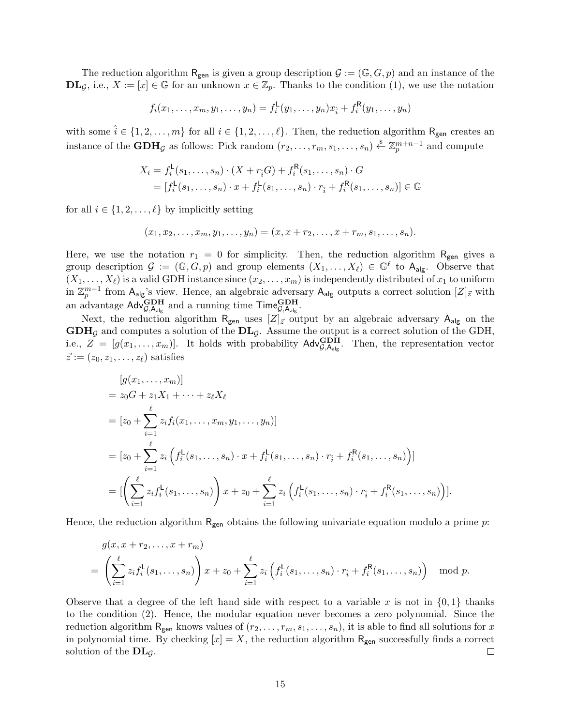The reduction algorithm  $R_{gen}$  is given a group description  $\mathcal{G} := (\mathbb{G}, G, p)$  and an instance of the **DL**<sub>*G*</sub>, i.e., *X* := [*x*] ∈ *G* for an unknown *x* ∈  $\mathbb{Z}_p$ . Thanks to the condition (1), we use the notation

$$
f_i(x_1,...,x_m,y_1,...,y_n) = f_i^{\mathsf{L}}(y_1,...,y_n)x_{\hat{i}} + f_i^{\mathsf{R}}(y_1,...,y_n)
$$

with some  $\hat{i} \in \{1, 2, \ldots, m\}$  for all  $i \in \{1, 2, \ldots, \ell\}$ . Then, the reduction algorithm R<sub>gen</sub> creates an instance of the  $GDH_{\mathcal{G}}$  as follows: Pick random  $(r_2, \ldots, r_m, s_1, \ldots, s_n) \stackrel{\$}{\leftarrow} \mathbb{Z}_p^{m+n-1}$  and compute

$$
X_i = f_i^{\mathsf{L}}(s_1, ..., s_n) \cdot (X + r_i G) + f_i^{\mathsf{R}}(s_1, ..., s_n) \cdot G
$$
  
=  $[f_i^{\mathsf{L}}(s_1, ..., s_n) \cdot x + f_i^{\mathsf{L}}(s_1, ..., s_n) \cdot r_i + f_i^{\mathsf{R}}(s_1, ..., s_n)] \in \mathbb{G}$ 

for all  $i \in \{1, 2, \ldots, \ell\}$  by implicitly setting

$$
(x_1, x_2, \ldots, x_m, y_1, \ldots, y_n) = (x, x + r_2, \ldots, x + r_m, s_1, \ldots, s_n).
$$

Here, we use the notation  $r_1 = 0$  for simplicity. Then, the reduction algorithm  $R_{gen}$  gives a group description  $\mathcal{G} := (\mathbb{G}, G, p)$  and group elements  $(X_1, \ldots, X_\ell) \in \mathbb{G}^\ell$  to  $A_{\text{alg}}$ . Observe that  $(X_1, \ldots, X_\ell)$  is a valid GDH instance since  $(x_2, \ldots, x_m)$  is independently distributed of  $x_1$  to uniform in  $\mathbb{Z}_p^{m-1}$  from  $A_{\text{alg}}$ 's view. Hence, an algebraic adversary  $A_{\text{alg}}$  outputs a correct solution  $[Z]_{\vec{z}}$  with an advantage  $\mathsf{Adv}_{\mathcal{G},\mathsf{A}_{\mathsf{alg}}}^{\mathbf{G}\mathbf{D}\mathbf{H}}$  and a running time  $\mathsf{Time}_{\mathcal{G},\mathsf{A}_{\mathsf{alg}}}^{\mathbf{G}\mathbf{D}\mathbf{H}}$ .

Next, the reduction algorithm  $R_{gen}$  uses  $[Z]_{\vec{z}}$  output by an algebraic adversary  $A_{alg}$  on the **GDH***<sup>G</sup>* and computes a solution of the **DL***G*. Assume the output is a correct solution of the GDH, i.e.,  $Z = [g(x_1, \ldots, x_m)]$ . It holds with probability  $\text{Adv}_{\mathcal{G},\text{A}_{\text{alg}}}^{\text{GDH}}$ . Then, the representation vector  $\vec{z} := (z_0, z_1, \ldots, z_\ell)$  satisfies

$$
[g(x_1,...,x_m)]
$$
  
=  $z_0G + z_1X_1 + \dots + z_{\ell}X_{\ell}$   
=  $[z_0 + \sum_{i=1}^{\ell} z_i f_i(x_1,...,x_m, y_1,..., y_n)]$   
=  $[z_0 + \sum_{i=1}^{\ell} z_i (f_i^{\mathsf{L}}(s_1,...,s_n) \cdot x + f_i^{\mathsf{L}}(s_1,...,s_n) \cdot r_i + f_i^{\mathsf{R}}(s_1,...,s_n))]$   
= 
$$
[\left(\sum_{i=1}^{\ell} z_i f_i^{\mathsf{L}}(s_1,...,s_n)\right) x + z_0 + \sum_{i=1}^{\ell} z_i (f_i^{\mathsf{L}}(s_1,...,s_n) \cdot r_i + f_i^{\mathsf{R}}(s_1,...,s_n))].
$$

Hence, the reduction algorithm Rgen obtains the following univariate equation modulo a prime *p*:

$$
g(x, x + r_2,..., x + r_m)
$$
  
=  $\left(\sum_{i=1}^{\ell} z_i f_i^{\mathsf{L}}(s_1,...,s_n)\right) x + z_0 + \sum_{i=1}^{\ell} z_i \left(f_i^{\mathsf{L}}(s_1,...,s_n) \cdot r_i + f_i^{\mathsf{R}}(s_1,...,s_n)\right) \mod p.$ 

Observe that a degree of the left hand side with respect to a variable x is not in  $\{0,1\}$  thanks to the condition (2). Hence, the modular equation never becomes a zero polynomial. Since the reduction algorithm  $R_{gen}$  knows values of  $(r_2, \ldots, r_m, s_1, \ldots, s_n)$ , it is able to find all solutions for x in polynomial time. By checking  $[x] = X$ , the reduction algorithm  $R_{gen}$  successfully finds a correct solution of the **DL***G*.  $\Box$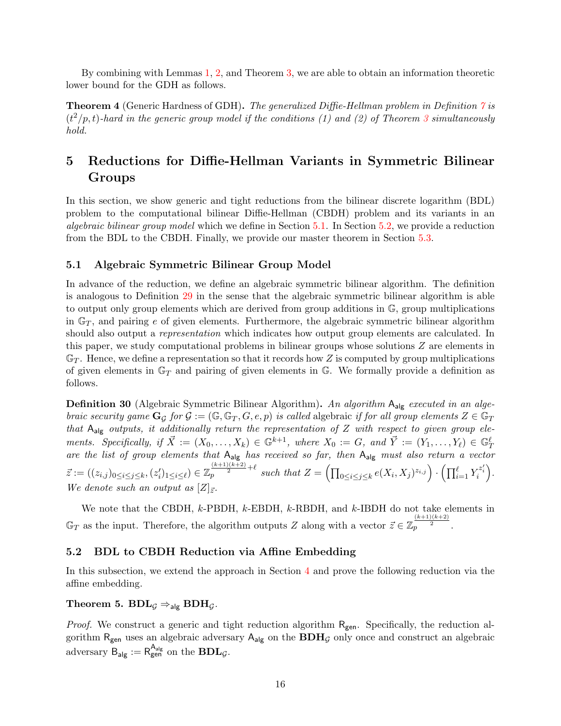By combining with Lemmas 1, 2, and Theorem 3, we are able to obtain an information theoretic lower bound for the GDH as follows.

**Theorem 4** (Generic Hardness of GDH)**.** *The generalized Diffie-Hellman problem in Definition 7 is*  $(t^2/p, t)$ -hard in the generic group model if the conditions (1) and (2) of Theorem 3 simultaneously *hold.*

# **5 Reductions for Diffie-Hellman Variants in Symmetric Bilinear Groups**

In this section, we show generic and tight reductions from the bilinear discrete logarithm (BDL) problem to the computational bilinear Diffie-Hellman (CBDH) problem and its variants in an *algebraic bilinear group model* which we define in Section 5.1. In Section 5.2, we provide a reduction from the BDL to the CBDH. Finally, we provide our master theorem in Section 5.3.

### **5.1 Algebraic Symmetric Bilinear Group Model**

In advance of the reduction, we define an algebraic symmetric bilinear algorithm. The definition is analogous to Definition 29 in the sense that the algebraic symmetric bilinear algorithm is able to output only group elements which are derived from group additions in G, group multiplications in G*<sup>T</sup>* , and pairing *e* of given elements. Furthermore, the algebraic symmetric bilinear algorithm should also output a *representation* which indicates how output group elements are calculated. In this paper, we study computational problems in bilinear groups whose solutions *Z* are elements in  $\mathbb{G}_T$ . Hence, we define a representation so that it records how Z is computed by group multiplications of given elements in G*<sup>T</sup>* and pairing of given elements in G. We formally provide a definition as follows.

**Definition 30** (Algebraic Symmetric Bilinear Algorithm)**.** *An algorithm* Aalg *executed in an algebraic security game*  $\mathbf{G}_{\mathcal{G}}$  *for*  $\mathcal{G} := (\mathbb{G}, \mathbb{G}_T, G, e, p)$  *is called* algebraic *if for all group elements*  $Z \in \mathbb{G}_T$ *that* Aalg *outputs, it additionally return the representation of Z with respect to given group ele*ments. Specifically, if  $\vec{X} := (X_0, \ldots, X_k) \in \mathbb{G}^{k+1}$ , where  $X_0 := G$ , and  $\vec{Y} := (Y_1, \ldots, Y_\ell) \in \mathbb{G}_T^\ell$ *are the list of group elements that* Aalg *has received so far, then* Aalg *must also return a vector*  $\vec{z} := ((z_{i,j})_{0 \leq i \leq j \leq k}, (z'_i)_{1 \leq i \leq \ell}) \in \mathbb{Z}_p^{\frac{(k+1)(k+2)}{2} + \ell}$  such that  $Z = \left(\prod_{0 \leq i \leq j \leq k} e(X_i, X_j)^{z_{i,j}}\right) \cdot \left(\prod_{i=1}^{\ell} Y_i^{z'_i}\right)$ . *We denote such an output as*  $[Z]_{\vec{z}}$ *.* 

We note that the CBDH, *k*-PBDH, *k*-EBDH, *k*-RBDH, and *k*-IBDH do not take elements in  $\mathbb{G}_T$  as the input. Therefore, the algorithm outputs *Z* along with a vector  $\vec{z} \in \mathbb{Z}_p^{\frac{(k+1)(k+2)}{2}}$ .

### **5.2 BDL to CBDH Reduction via Affine Embedding**

In this subsection, we extend the approach in Section 4 and prove the following reduction via the affine embedding.

### **Theorem 5.**  $BDL<sub>G</sub> \Rightarrow$ <sub>alg</sub>  $BDH<sub>G</sub>$ *.*

*Proof.* We construct a generic and tight reduction algorithm R<sub>gen</sub>. Specifically, the reduction algorithm Rgen uses an algebraic adversary Aalg on the **BDH***<sup>G</sup>* only once and construct an algebraic adversary  $B_{\mathsf{alg}} := R_{\mathsf{gen}}^{\mathsf{A}_{\mathsf{alg}}}$  on the  $\mathbf{BDL}_{\mathcal{G}}$ .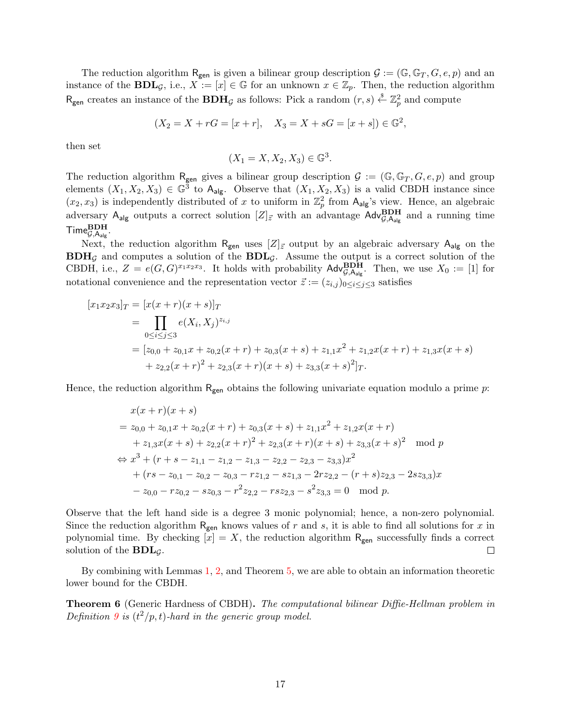The reduction algorithm  $R_{gen}$  is given a bilinear group description  $\mathcal{G} := (\mathbb{G}, \mathbb{G}_T, G, e, p)$  and an instance of the **BDL**<sub>*G*</sub>, i.e., *X* := [*x*]  $\in$  G for an unknown *x*  $\in \mathbb{Z}_p$ . Then, the reduction algorithm  $R_{gen}$  creates an instance of the  $BDH_{\mathcal{G}}$  as follows: Pick a random  $(r, s) \stackrel{s}{\leftarrow} \mathbb{Z}_p^2$  and compute

$$
(X_2 = X + rG = [x + r], X_3 = X + sG = [x + s]) \in \mathbb{G}^2
$$
,

then set

$$
(X_1 = X, X_2, X_3) \in \mathbb{G}^3.
$$

The reduction algorithm R<sub>gen</sub> gives a bilinear group description  $\mathcal{G} := (\mathbb{G}, \mathbb{G}_T, G, e, p)$  and group elements  $(X_1, X_2, X_3) \in \mathbb{G}^3$  to  $\mathsf{A}_{\mathsf{alg}}$ . Observe that  $(X_1, X_2, X_3)$  is a valid CBDH instance since  $(x_2, x_3)$  is independently distributed of x to uniform in  $\mathbb{Z}_p^2$  from  $A_{\text{alg}}$ 's view. Hence, an algebraic adversary  $A_{alg}$  outputs a correct solution  $[Z]_{\vec{z}}$  with an advantage  $\text{Adv}_{\mathcal{G},A_{alg}}^{BDH}$  and a running time  $\mathsf{Time}_{\mathcal{G},\mathsf{A}_{\mathsf{alg}}}^{\mathbf{BDH}}$ .

Next, the reduction algorithm  $R_{gen}$  uses  $[Z]_{\vec{z}}$  output by an algebraic adversary  $A_{alg}$  on the **BDH***<sup>G</sup>* and computes a solution of the **BDL***G*. Assume the output is a correct solution of the CBDH, i.e.,  $Z = e(G, G)^{x_1 x_2 x_3}$ . It holds with probability  $\mathsf{Adv}_{\mathcal{G},\mathsf{A}_{\mathsf{alg}}}^{\mathbf{BDH}}$ . Then, we use  $X_0 := [1]$  for notational convenience and the representation vector  $\vec{z} := (z_{i,j})_{0 \le i \le j \le 3}$  satisfies

$$
[x_1x_2x_3]_T = [x(x+r)(x+s)]_T
$$
  
= 
$$
\prod_{0 \le i \le j \le 3} e(X_i, X_j)^{z_{i,j}}
$$
  
= 
$$
[z_{0,0} + z_{0,1}x + z_{0,2}(x+r) + z_{0,3}(x+s) + z_{1,1}x^2 + z_{1,2}x(x+r) + z_{1,3}x(x+s) + z_{2,2}(x+r)^2 + z_{2,3}(x+r)(x+s) + z_{3,3}(x+s)^2]_T.
$$

Hence, the reduction algorithm  $R_{gen}$  obtains the following univariate equation modulo a prime *p*:

$$
x(x + r)(x + s)
$$
  
= z<sub>0,0</sub> + z<sub>0,1</sub>x + z<sub>0,2</sub>(x + r) + z<sub>0,3</sub>(x + s) + z<sub>1,1</sub>x<sup>2</sup> + z<sub>1,2</sub>x(x + r)  
+ z<sub>1,3</sub>x(x + s) + z<sub>2,2</sub>(x + r)<sup>2</sup> + z<sub>2,3</sub>(x + r)(x + s) + z<sub>3,3</sub>(x + s)<sup>2</sup> mod p  

$$
\Leftrightarrow x3 + (r + s - z1,1 - z1,2 - z1,3 - z2,2 - z2,3 - z3,3)x2
$$
  
+ (rs - z<sub>0,1</sub> - z<sub>0,2</sub> - z<sub>0,3</sub> - rz<sub>1,2</sub> - sz<sub>1,3</sub> - 2rz<sub>2,2</sub> - (r + s)z<sub>2,3</sub> - 2sz<sub>3,3</sub>)x  
- z<sub>0,0</sub> - rz<sub>0,2</sub> - sz<sub>0,3</sub> - r<sup>2</sup>z<sub>2,2</sub> - rsz<sub>2,3</sub> - s<sup>2</sup>z<sub>3,3</sub> = 0 mod p.

Observe that the left hand side is a degree 3 monic polynomial; hence, a non-zero polynomial. Since the reduction algorithm  $R_{gen}$  knows values of  $r$  and  $s$ , it is able to find all solutions for  $x$  in polynomial time. By checking  $[x] = X$ , the reduction algorithm  $R_{gen}$  successfully finds a correct solution of the **BDL***G*.  $\Box$ 

By combining with Lemmas 1, 2, and Theorem 5, we are able to obtain an information theoretic lower bound for the CBDH.

**Theorem 6** (Generic Hardness of CBDH)**.** *The computational bilinear Diffie-Hellman problem in Definition* 9 *is*  $(t^2/p, t)$ *-hard in the generic group model.*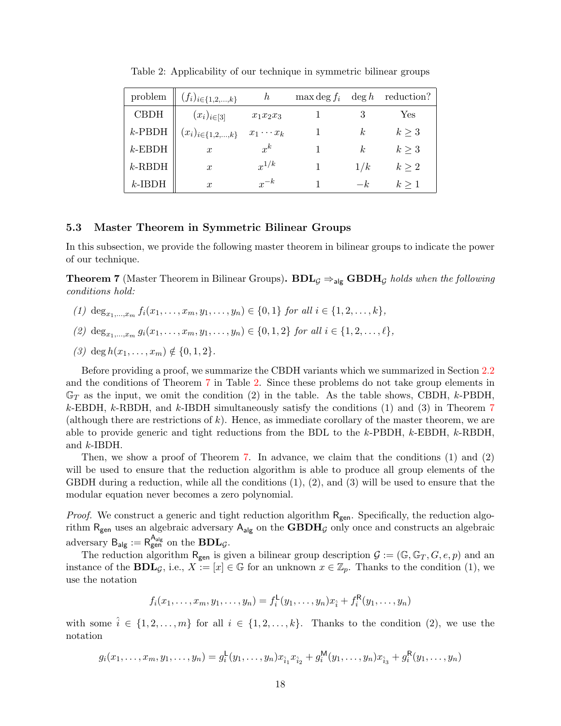| problem     | $(f_i)_{i \in \{1,2,\ldots,k\}}$ | h                | $\max$ deg $f_i$ | $\deg h$       | reduction? |
|-------------|----------------------------------|------------------|------------------|----------------|------------|
| <b>CBDH</b> | $(x_i)_{i \in [3]}$              | $x_1x_2x_3$      |                  |                | Yes        |
| $k$ -PBDH   | $(x_i)_{i \in \{1,2,\ldots,k\}}$ | $x_1 \cdots x_k$ |                  | k.             | $k \geq 3$ |
| $k$ -EBDH   | $\boldsymbol{x}$                 | $x^k$            |                  | k <sub>i</sub> | $k \geq 3$ |
| $k$ -RBDH   | $\boldsymbol{x}$                 | $x^{1/k}$        |                  | 1/k            | $k \geq 2$ |
| $k$ -IBDH   | $\boldsymbol{x}$                 | $x^{-k}$         |                  | $-k$           | $k \geq 1$ |

Table 2: Applicability of our technique in symmetric bilinear groups

### **5.3 Master Theorem in Symmetric Bilinear Groups**

In this subsection, we provide the following master theorem in bilinear groups to indicate the power of our technique.

**Theorem 7** (Master Theorem in Bilinear Groups). **BDL**<sub>*G*</sub>  $\Rightarrow$  alg **GBDH***G holds when the following conditions hold:*

- (1) deg<sub> $x_1, ..., x_m$ </sub>  $f_i(x_1, ..., x_m, y_1, ..., y_n) \in \{0, 1\}$  for all  $i \in \{1, 2, ..., k\}$ ,
- (2)  $\deg_{x_1,\ldots,x_m} g_i(x_1,\ldots,x_m,y_1,\ldots,y_n) \in \{0,1,2\}$  for all  $i \in \{1,2,\ldots,\ell\},$
- $(3)$  deg  $h(x_1, \ldots, x_m) \notin \{0, 1, 2\}.$

Before providing a proof, we summarize the CBDH variants which we summarized in Section 2.2 and the conditions of Theorem 7 in Table 2. Since these problems do not take group elements in G*<sup>T</sup>* as the input, we omit the condition (2) in the table. As the table shows, CBDH, *k*-PBDH, *k*-EBDH, *k*-RBDH, and *k*-IBDH simultaneously satisfy the conditions (1) and (3) in Theorem 7 (although there are restrictions of *k*). Hence, as immediate corollary of the master theorem, we are able to provide generic and tight reductions from the BDL to the *k*-PBDH, *k*-EBDH, *k*-RBDH, and *k*-IBDH.

Then, we show a proof of Theorem 7. In advance, we claim that the conditions (1) and (2) will be used to ensure that the reduction algorithm is able to produce all group elements of the GBDH during a reduction, while all the conditions  $(1), (2),$  and  $(3)$  will be used to ensure that the modular equation never becomes a zero polynomial.

*Proof.* We construct a generic and tight reduction algorithm R<sub>gen</sub>. Specifically, the reduction algorithm $R_{\text{gen}}$  uses an algebraic adversary  $A_{\text{alg}}$  on the  $\mathbf{GBDH}_\mathcal{G}$  only once and constructs an algebraic adversary  $B_{\mathsf{alg}} := R_{\mathsf{gen}}^{\mathsf{A}_{\mathsf{alg}}}$  on the  $\mathbf{BDL}_{\mathcal{G}}$ .

The reduction algorithm  $R_{gen}$  is given a bilinear group description  $\mathcal{G} := (\mathbb{G}, \mathbb{G}_T, G, e, p)$  and an instance of the **BDL**<sub>*G*</sub>, i.e., *X* := [*x*]  $\in \mathbb{G}$  for an unknown  $x \in \mathbb{Z}_p$ . Thanks to the condition (1), we use the notation

$$
f_i(x_1,...,x_m,y_1,...,y_n) = f_i^{\mathsf{L}}(y_1,...,y_n)x_{\hat{i}} + f_i^{\mathsf{R}}(y_1,...,y_n)
$$

with some  $\hat{i} \in \{1, 2, \ldots, m\}$  for all  $i \in \{1, 2, \ldots, k\}$ . Thanks to the condition (2), we use the notation

$$
g_i(x_1,\ldots,x_m,y_1,\ldots,y_n)=g_i^{\mathsf{L}}(y_1,\ldots,y_n)x_{\hat{i}_1}x_{\hat{i}_2}+g_i^{\mathsf{M}}(y_1,\ldots,y_n)x_{\hat{i}_3}+g_i^{\mathsf{R}}(y_1,\ldots,y_n)
$$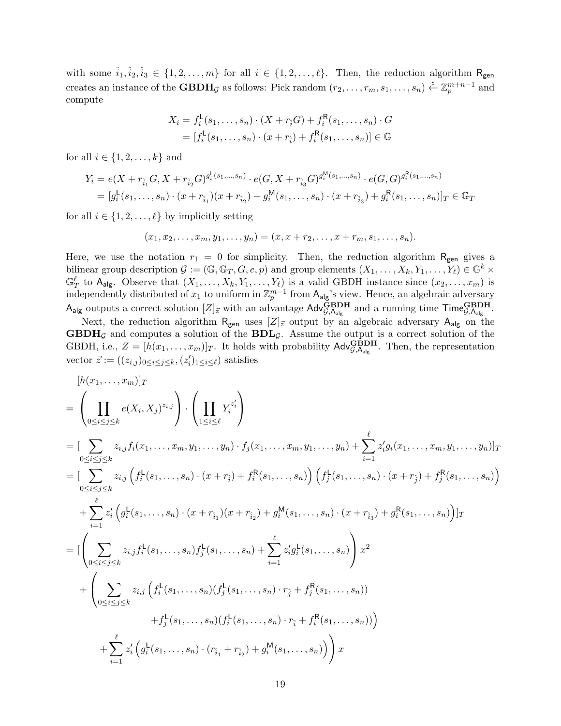with some  $\hat{i}_1, \hat{i}_2, \hat{i}_3 \in \{1, 2, \ldots, m\}$  for all  $i \in \{1, 2, \ldots, \ell\}$ . Then, the reduction algorithm  $R_{gen}$ creates an instance of the **GBDH**<sub>*G*</sub> as follows: Pick random  $(r_2, \ldots, r_m, s_1, \ldots, s_n) \stackrel{\$}{\leftarrow} \mathbb{Z}_p^{m+n-1}$  and compute

$$
X_i = f_i^{\mathsf{L}}(s_1, ..., s_n) \cdot (X + r_i G) + f_i^{\mathsf{R}}(s_1, ..., s_n) \cdot G
$$
  
=  $[f_i^{\mathsf{L}}(s_1, ..., s_n) \cdot (x + r_i) + f_i^{\mathsf{R}}(s_1, ..., s_n)] \in \mathbb{G}$ 

for all  $i \in \{1, 2, \ldots, k\}$  and

$$
Y_i = e(X + r_{\hat{i}_1} G, X + r_{\hat{i}_2} G)^{g_i^L(s_1, \dots, s_n)} \cdot e(G, X + r_{\hat{i}_3} G)^{g_i^M(s_1, \dots, s_n)} \cdot e(G, G)^{g_i^R(s_1, \dots, s_n)}
$$
  
= 
$$
[g_i^L(s_1, \dots, s_n) \cdot (x + r_{\hat{i}_1})(x + r_{\hat{i}_2}) + g_i^M(s_1, \dots, s_n) \cdot (x + r_{\hat{i}_3}) + g_i^R(s_1, \dots, s_n)]_T \in \mathbb{G}_T
$$

for all  $i \in \{1, 2, \ldots, \ell\}$  by implicitly setting

$$
(x_1, x_2, \ldots, x_m, y_1, \ldots, y_n) = (x, x + r_2, \ldots, x + r_m, s_1, \ldots, s_n).
$$

Here, we use the notation  $r_1 = 0$  for simplicity. Then, the reduction algorithm R<sub>gen</sub> gives a bilinear group description  $\mathcal{G} := (\mathbb{G}, \mathbb{G}_T, G, e, p)$  and group elements  $(X_1, \ldots, X_k, Y_1, \ldots, Y_\ell) \in \mathbb{G}^k \times$  $\mathbb{G}_T^{\ell}$  to  $A_{\text{alg}}$ . Observe that  $(X_1, \ldots, X_k, Y_1, \ldots, Y_{\ell})$  is a valid GBDH instance since  $(x_2, \ldots, x_m)$  is independently distributed of  $x_1$  to uniform in  $\mathbb{Z}_p^{m-1}$  from  $A_{\text{alg}}$ 's view. Hence, an algebraic adversary  $A_{\text{alg}}$  outputs a correct solution  $[Z]_{\vec{z}}$  with an advantage  $\text{Adv}_{\mathcal{G},A_{\text{alg}}}^{\text{GBDH}}$  and a running time  $\text{Time}_{\mathcal{G},A_{\text{alg}}}^{\text{GBDH}}$ .

Next, the reduction algorithm  $R_{gen}$  uses  $[Z]_{\vec{z}}$  output by an algebraic adversary  $A_{alg}$  on the  $\mathbf{GBDH}_\mathcal{G}$  and computes a solution of the  $\mathbf{BDL}_\mathcal{G}$ . Assume the output is a correct solution of the GBDH, i.e.,  $Z = [h(x_1, \ldots, x_m)]_T$ . It holds with probability  $\text{Adv}_{\mathcal{G},A_{\text{alg}}}^{\text{GBDH}}$ . Then, the representation vector  $\vec{z} := ((z_{i,j})_{0 \leq i \leq j \leq k}, (z'_i)_{1 \leq i \leq \ell})$  satisfies

$$
[h(x_1,...,x_m)]_T
$$
\n
$$
= \left( \prod_{0 \le i \le j \le k} e(X_i, X_j)^{z_{i,j}} \right) \cdot \left( \prod_{1 \le i \le \ell} Y_i^{z_i'} \right)
$$
\n
$$
= \left[ \sum_{0 \le i \le j \le k} z_{i,j} f_i(x_1,...,x_m, y_1,...,y_n) \cdot f_j(x_1,...,x_m, y_1,...,y_n) + \sum_{i=1}^{\ell} z_{i,j}^{\ell} (x_1,...,x_m, y_1,...,y_n) \right]_T
$$
\n
$$
= \left[ \sum_{0 \le i \le j \le k} z_{i,j} \left( f_i^{\mathsf{L}}(s_1,...,s_n) \cdot (x + r_i) + f_i^{\mathsf{R}}(s_1,...,s_n) \right) \left( f_j^{\mathsf{L}}(s_1,...,s_n) \cdot (x + r_j) + f_j^{\mathsf{R}}(s_1,...,s_n) \right) \right]
$$
\n
$$
+ \sum_{i=1}^{\ell} z_i^{\ell} \left( g_i^{\mathsf{L}}(s_1,...,s_n) \cdot (x + r_{i_1})(x + r_{i_2}) + g_i^{\mathsf{M}}(s_1,...,s_n) \cdot (x + r_{i_3}) + g_i^{\mathsf{R}}(s_1,...,s_n) \right) ]_T
$$
\n
$$
= \left[ \left( \sum_{0 \le i \le j \le k} z_{i,j} f_i^{\mathsf{L}}(s_1,...,s_n) f_j^{\mathsf{L}}(s_1,...,s_n) + \sum_{i=1}^{\ell} z_i^{\ell} g_i^{\mathsf{L}}(s_1,...,s_n) \right) x^2 + \left( \sum_{0 \le i \le j \le k} z_{i,j} \left( f_i^{\mathsf{L}}(s_1,...,s_n) (f_j^{\mathsf{L}}(s_1,...,s_n) \cdot r_j + f_j^{\mathsf{R}}(s_1,...,s_n) \right) \right) + f_j^{\mathsf{L}}(s_1,...,s_n) \cdot (r_{i_1} + r_{i_2}) + g_i^{\mathsf{M}}(s_1,...,s_n) \right)
$$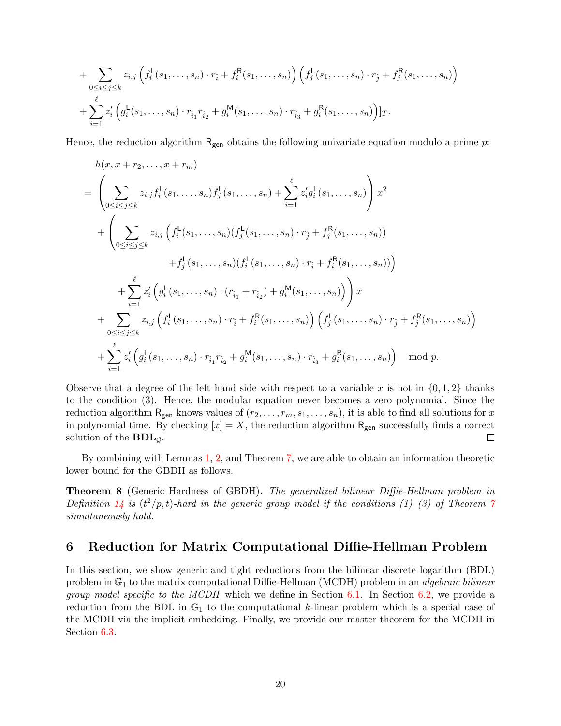+ 
$$
\sum_{0 \leq i \leq j \leq k} z_{i,j} \left( f_i^{\mathsf{L}}(s_1, \ldots, s_n) \cdot r_{\hat{i}} + f_i^{\mathsf{R}}(s_1, \ldots, s_n) \right) \left( f_j^{\mathsf{L}}(s_1, \ldots, s_n) \cdot r_{\hat{j}} + f_j^{\mathsf{R}}(s_1, \ldots, s_n) \right) + \sum_{i=1}^{\ell} z_i' \left( g_i^{\mathsf{L}}(s_1, \ldots, s_n) \cdot r_{\hat{i}_1} r_{\hat{i}_2} + g_i^{\mathsf{M}}(s_1, \ldots, s_n) \cdot r_{\hat{i}_3} + g_i^{\mathsf{R}}(s_1, \ldots, s_n) \right) ]T.
$$

Hence, the reduction algorithm Rgen obtains the following univariate equation modulo a prime *p*:

$$
h(x, x + r_2,..., x + r_m)
$$
\n
$$
= \left( \sum_{0 \le i \le j \le k} z_{i,j} f_i^{\mathsf{L}}(s_1,...,s_n) f_j^{\mathsf{L}}(s_1,...,s_n) + \sum_{i=1}^{\ell} z_i' g_i^{\mathsf{L}}(s_1,...,s_n) \right) x^2
$$
\n
$$
+ \left( \sum_{0 \le i \le j \le k} z_{i,j} \left( f_i^{\mathsf{L}}(s_1,...,s_n) (f_j^{\mathsf{L}}(s_1,...,s_n) \cdot r_j + f_j^{\mathsf{R}}(s_1,...,s_n)) + f_j^{\mathsf{L}}(s_1,...,s_n) (f_i^{\mathsf{L}}(s_1,...,s_n) \cdot r_i + f_i^{\mathsf{R}}(s_1,...,s_n)) \right)
$$
\n
$$
+ \sum_{i=1}^{\ell} z_i' \left( g_i^{\mathsf{L}}(s_1,...,s_n) \cdot (r_{\hat{i}_1} + r_{\hat{i}_2}) + g_i^{\mathsf{M}}(s_1,...,s_n) \right) x
$$
\n
$$
+ \sum_{0 \le i \le j \le k} z_{i,j} \left( f_i^{\mathsf{L}}(s_1,...,s_n) \cdot r_{\hat{i}_1} + f_i^{\mathsf{R}}(s_1,...,s_n) \right) \left( f_j^{\mathsf{L}}(s_1,...,s_n) \cdot r_{\hat{j}_1} + f_j^{\mathsf{R}}(s_1,...,s_n) \right)
$$
\n
$$
+ \sum_{i=1}^{\ell} z_i' \left( g_i^{\mathsf{L}}(s_1,...,s_n) \cdot r_{\hat{i}_1} r_{\hat{i}_2} + g_i^{\mathsf{M}}(s_1,...,s_n) \cdot r_{\hat{i}_3} + g_i^{\mathsf{R}}(s_1,...,s_n) \right) \mod p.
$$

Observe that a degree of the left hand side with respect to a variable x is not in  $\{0, 1, 2\}$  thanks to the condition (3). Hence, the modular equation never becomes a zero polynomial. Since the reduction algorithm  $R_{gen}$  knows values of  $(r_2, \ldots, r_m, s_1, \ldots, s_n)$ , it is able to find all solutions for x in polynomial time. By checking  $[x] = X$ , the reduction algorithm  $R_{gen}$  successfully finds a correct solution of the **BDL***G*.  $\Box$ 

By combining with Lemmas 1, 2, and Theorem 7, we are able to obtain an information theoretic lower bound for the GBDH as follows.

**Theorem 8** (Generic Hardness of GBDH)**.** *The generalized bilinear Diffie-Hellman problem in Definition*  $14$  *is*  $(t^2/p, t)$ *-hard in the generic group model if the conditions (1)–(3) of Theorem 7 simultaneously hold.*

### **6 Reduction for Matrix Computational Diffie-Hellman Problem**

In this section, we show generic and tight reductions from the bilinear discrete logarithm (BDL) problem in G<sup>1</sup> to the matrix computational Diffie-Hellman (MCDH) problem in an *algebraic bilinear group model specific to the MCDH* which we define in Section 6.1. In Section 6.2, we provide a reduction from the BDL in  $\mathbb{G}_1$  to the computational *k*-linear problem which is a special case of the MCDH via the implicit embedding. Finally, we provide our master theorem for the MCDH in Section 6.3.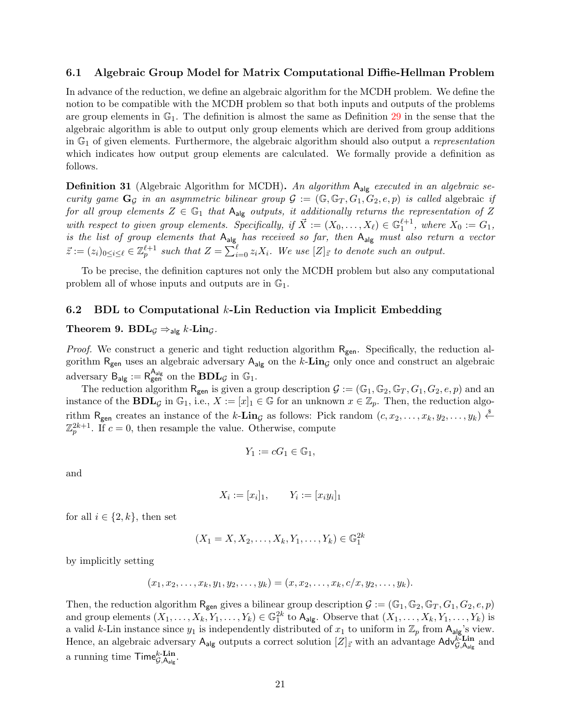### **6.1 Algebraic Group Model for Matrix Computational Diffie-Hellman Problem**

In advance of the reduction, we define an algebraic algorithm for the MCDH problem. We define the notion to be compatible with the MCDH problem so that both inputs and outputs of the problems are group elements in  $\mathbb{G}_1$ . The definition is almost the same as Definition 29 in the sense that the algebraic algorithm is able to output only group elements which are derived from group additions in G<sup>1</sup> of given elements. Furthermore, the algebraic algorithm should also output a *representation* which indicates how output group elements are calculated. We formally provide a definition as follows.

**Definition 31** (Algebraic Algorithm for MCDH)**.** *An algorithm* Aalg *executed in an algebraic security game*  $\mathbf{G}_{\mathcal{G}}$  *in an asymmetric bilinear group*  $\mathcal{G} := (\mathbb{G}, \mathbb{G}_T, G_1, G_2, e, p)$  *is called* algebraic *if for all group elements*  $Z \in \mathbb{G}_1$  *that*  $A_{alg}$  *outputs, it additionally returns the representation of*  $Z$ *with respect to given group elements. Specifically, if*  $\vec{X} := (X_0, \ldots, X_\ell) \in \mathbb{G}_1^{\ell+1}$ *, where*  $X_0 := G_1$ *, is the list of group elements that* Aalg *has received so far, then* Aalg *must also return a vector*  $\vec{z} := (z_i)_{0 \le i \le \ell} \in \mathbb{Z}_p^{\ell+1}$  such that  $Z = \sum_{i=0}^{\ell} z_i X_i$ . We use  $[Z]_{\vec{z}}$  to denote such an output.

To be precise, the definition captures not only the MCDH problem but also any computational problem all of whose inputs and outputs are in  $\mathbb{G}_1$ .

### **6.2 BDL to Computational** *k***-Lin Reduction via Implicit Embedding**

### **Theorem 9.**  $BDL_{\mathcal{G}} \Rightarrow_{\text{alg}} k \text{-} \text{Lin}_{\mathcal{G}}$ .

*Proof.* We construct a generic and tight reduction algorithm R<sub>gen</sub>. Specifically, the reduction algorithm  $R_{gen}$  uses an algebraic adversary  $A_{alg}$  on the  $k$ -**Lin**<sub>*G*</sub> only once and construct an algebraic adversary  $B_{\mathsf{alg}} := R_{\mathsf{gen}}^{\mathsf{A}_{\mathsf{alg}}}$  on the  $\mathbf{BDL}_{\mathcal{G}}$  in  $\mathbb{G}_1$ .

The reduction algorithm  $R_{gen}$  is given a group description  $G := (\mathbb{G}_1, \mathbb{G}_2, \mathbb{G}_T, G_1, G_2, e, p)$  and an instance of the **BDL**<sub>*G*</sub> in  $\mathbb{G}_1$ , i.e.,  $X := [x]_1 \in \mathbb{G}$  for an unknown  $x \in \mathbb{Z}_p$ . Then, the reduction algorithm  $R_{gen}$  creates an instance of the *k*-**Lin**<sub>*G*</sub> as follows: Pick random  $(c, x_2, \ldots, x_k, y_2, \ldots, y_k) \overset{\$}{\leftarrow}$  $\mathbb{Z}_p^{2k+1}$ . If  $c=0$ , then resample the value. Otherwise, compute

$$
Y_1 := cG_1 \in \mathbb{G}_1,
$$

and

$$
X_i := [x_i]_1, \qquad Y_i := [x_i y_i]_1
$$

for all  $i \in \{2, k\}$ , then set

$$
(X_1 = X, X_2, \dots, X_k, Y_1, \dots, Y_k) \in \mathbb{G}_1^{2k}
$$

by implicitly setting

$$
(x_1, x_2, \ldots, x_k, y_1, y_2, \ldots, y_k) = (x, x_2, \ldots, x_k, c/x, y_2, \ldots, y_k).
$$

Then, the reduction algorithm  $R_{gen}$  gives a bilinear group description  $G := (\mathbb{G}_1, \mathbb{G}_2, \mathbb{G}_T, G_1, G_2, e, p)$ and group elements  $(X_1, \ldots, X_k, Y_1, \ldots, Y_k) \in \mathbb{G}_1^{2k}$  to  $\mathsf{A}_{\mathsf{alg}}$ . Observe that  $(X_1, \ldots, X_k, Y_1, \ldots, Y_k)$  is a valid *k*-Lin instance since  $y_1$  is independently distributed of  $x_1$  to uniform in  $\mathbb{Z}_p$  from  $A_{a|g}$ 's view. Hence, an algebraic adversary  $A_{alg}$  outputs a correct solution  $[Z]_{\vec{z}}$  with an advantage  $Adv_{\vec{G},A_{alg}}^{\vec{k}\text{-Lin}}$  and a running time  $\mathsf{Time}_{\mathcal{G},\mathsf{A}_{\mathsf{alg}}}^{k\text{-}\mathbf{Lin}}$ .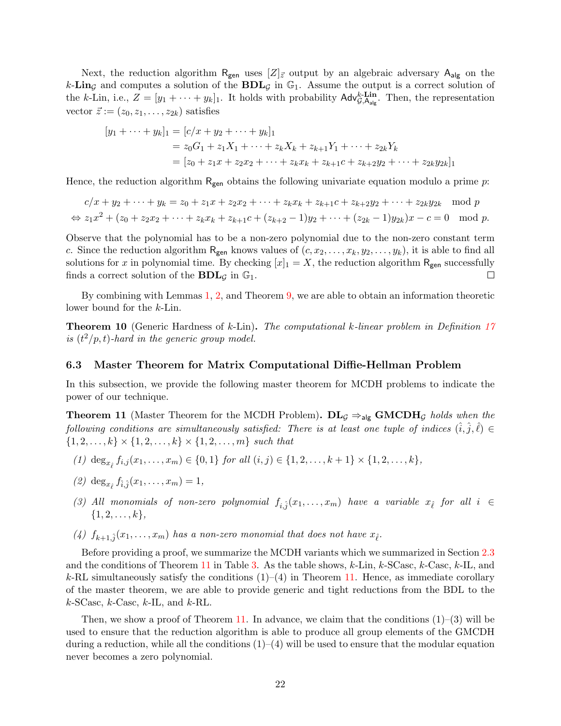Next, the reduction algorithm  $R_{gen}$  uses  $[Z]_{\bar{z}}$  output by an algebraic adversary  $A_{alg}$  on the  $k$ **-Lin**<sub>*G*</sub> and computes a solution of the **BDL**<sub>*G*</sub> in  $\mathbb{G}_1$ . Assume the output is a correct solution of the *k*-Lin, i.e.,  $Z = [y_1 + \cdots + y_k]_1$ . It holds with probability  $\mathsf{Adv}_{\mathcal{G},\mathsf{A}_{\mathsf{alg}}}^{\mathsf{k}\text{-}\mathsf{Lin}}$ . Then, the representation vector  $\vec{z} := (z_0, z_1, \ldots, z_{2k})$  satisfies

$$
[y_1 + \dots + y_k]_1 = [c/x + y_2 + \dots + y_k]_1
$$
  
=  $z_0G_1 + z_1X_1 + \dots + z_kX_k + z_{k+1}Y_1 + \dots + z_{2k}Y_k$   
=  $[z_0 + z_1x + z_2x_2 + \dots + z_kx_k + z_{k+1}c + z_{k+2}y_2 + \dots + z_{2k}y_{2k}]_1$ 

Hence, the reduction algorithm  $R_{gen}$  obtains the following univariate equation modulo a prime *p*:

$$
c/x + y_2 + \dots + y_k = z_0 + z_1x + z_2x_2 + \dots + z_kx_k + z_{k+1}c + z_{k+2}y_2 + \dots + z_{2k}y_{2k} \mod p
$$
  
\n
$$
\Leftrightarrow z_1x^2 + (z_0 + z_2x_2 + \dots + z_kx_k + z_{k+1}c + (z_{k+2} - 1)y_2 + \dots + (z_{2k} - 1)y_{2k})x - c = 0 \mod p.
$$

Observe that the polynomial has to be a non-zero polynomial due to the non-zero constant term *c*. Since the reduction algorithm  $R_{gen}$  knows values of  $(c, x_2, \ldots, x_k, y_2, \ldots, y_k)$ , it is able to find all solutions for *x* in polynomial time. By checking  $[x]_1 = X$ , the reduction algorithm R<sub>gen</sub> successfully finds a correct solution of the **BDL**<sub>*G*</sub> in  $\mathbb{G}_1$ .  $\Box$ 

By combining with Lemmas 1, 2, and Theorem 9, we are able to obtain an information theoretic lower bound for the *k*-Lin.

**Theorem 10** (Generic Hardness of *k*-Lin)**.** *The computational k-linear problem in Definition 17 is*  $(t^2/p, t)$ -hard in the generic group model.

### **6.3 Master Theorem for Matrix Computational Diffie-Hellman Problem**

In this subsection, we provide the following master theorem for MCDH problems to indicate the power of our technique.

**Theorem 11** (Master Theorem for the MCDH Problem).  $\mathbf{DL}_\mathcal{G} \Rightarrow_{\mathsf{alg}} \mathbf{GMCDH}_\mathcal{G}$  holds when the *following conditions are simultaneously satisfied: There is at least one tuple of indices*  $(\hat{i}, \hat{j}, \hat{\ell}) \in$  ${1, 2, ..., k} \times {1, 2, ..., k} \times {1, 2, ..., k}$   $\{1, 2, ..., m\}$  *such that* 

- (1)  $\deg_{x_{\hat{\ell}}} f_{i,j}(x_1,\ldots,x_m) \in \{0,1\}$  for all  $(i,j) \in \{1,2,\ldots,k+1\} \times \{1,2,\ldots,k\},$
- $(2)$  deg<sub>*x*</sub><sub> $\hat{i}$ </sub> $f_{\hat{i},\hat{j}}(x_1,\ldots,x_m) = 1$ ,
- *(3) All monomials of non-zero polynomial*  $f_{i,\hat{j}}(x_1,\ldots,x_m)$  *have a variable*  $x_{\hat{\ell}}$  *for all*  $i \in$ *{*1*,* 2*, . . . , k},*
- (4)  $f_{k+1,\hat{j}}(x_1,\ldots,x_m)$  *has a non-zero monomial that does not have*  $x_{\hat{\ell}}$ *.*

Before providing a proof, we summarize the MCDH variants which we summarized in Section 2.3 and the conditions of Theorem 11 in Table 3. As the table shows, *k*-Lin, *k*-SCasc, *k*-Casc, *k*-IL, and  $k$ -RL simultaneously satisfy the conditions  $(1)$ – $(4)$  in Theorem 11. Hence, as immediate corollary of the master theorem, we are able to provide generic and tight reductions from the BDL to the *k*-SCasc, *k*-Casc, *k*-IL, and *k*-RL.

Then, we show a proof of Theorem 11. In advance, we claim that the conditions  $(1)-(3)$  will be used to ensure that the reduction algorithm is able to produce all group elements of the GMCDH during a reduction, while all the conditions  $(1)$ – $(4)$  will be used to ensure that the modular equation never becomes a zero polynomial.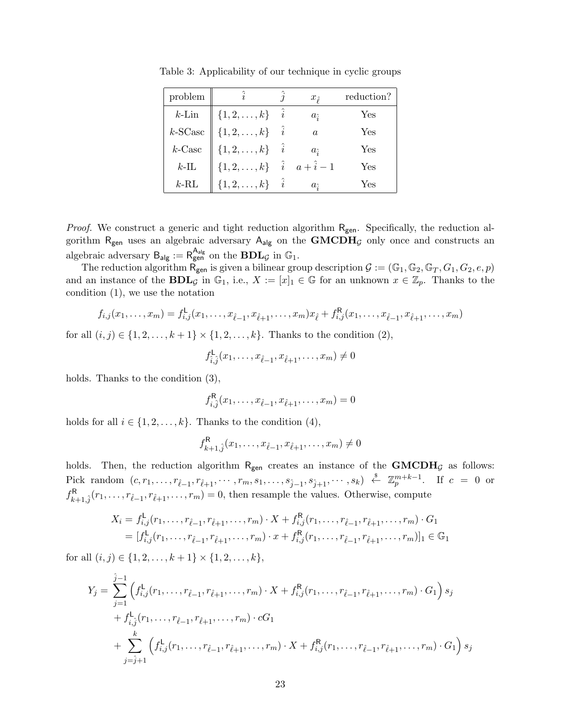| problem                  | $\hat{i}$                                                                                                | $x_{\hat{\ell}}$ | reduction? |
|--------------------------|----------------------------------------------------------------------------------------------------------|------------------|------------|
| $k$ -Lin                 |                                                                                                          | $a_{\hat{i}}$    | Yes        |
| $k$ -SCasc               | $\left\  \begin{array}{ll} \{1,2,\ldots,k\} & \hat{i} \\ \{1,2,\ldots,k\} & \hat{i} \end{array} \right.$ | $\alpha$         | Yes        |
| $k\text{-}\mathrm{Case}$ | $\{1, 2, \ldots, k\}$ $\hat{i}$                                                                          | $a_{\hat{i}}$    | Yes        |
| $k$ -IL                  | $\{1, 2, , k\}$ $\hat{i}$ $a + \hat{i} - 1$                                                              |                  | Yes        |
| $k$ -RL                  | $\{1, 2, \ldots, k\}$ $\hat{i}$                                                                          | $a_{\hat{i}}$    | Yes        |

Table 3: Applicability of our technique in cyclic groups

*Proof.* We construct a generic and tight reduction algorithm R<sub>gen</sub>. Specifically, the reduction algorithm R<sub>gen</sub> uses an algebraic adversary A<sub>alg</sub> on the **GMCDH**<sub>*G*</sub> only once and constructs an algebraic adversary  $B_{\mathsf{alg}} := R_{\mathsf{gen}}^{\mathsf{A}_{\mathsf{alg}}}$  on the  $\mathbf{BDL}_{\mathcal{G}}$  in  $\mathbb{G}_1$ .

The reduction algorithm  $\mathsf{R}_{\mathsf{gen}}$  is given a bilinear group description  $\mathcal{G} := (\mathbb{G}_1, \mathbb{G}_2, \mathbb{G}_T, G_1, G_2, e, p)$ and an instance of the **BDL**<sub>*G*</sub> in  $\mathbb{G}_1$ , i.e.,  $X := [x]_1 \in \mathbb{G}$  for an unknown  $x \in \mathbb{Z}_p$ . Thanks to the condition (1), we use the notation

$$
f_{i,j}(x_1,\ldots,x_m) = f_{i,j}^{\mathsf{L}}(x_1,\ldots,x_{\hat{\ell}-1},x_{\hat{\ell}+1},\ldots,x_m)x_{\hat{\ell}} + f_{i,j}^{\mathsf{R}}(x_1,\ldots,x_{\hat{\ell}-1},x_{\hat{\ell}+1},\ldots,x_m)
$$

for all  $(i, j) \in \{1, 2, \ldots, k + 1\} \times \{1, 2, \ldots, k\}$ . Thanks to the condition (2),

$$
f_{\hat{i},\hat{j}}^{\mathsf{L}}(x_1,\ldots,x_{\hat{\ell}-1},x_{\hat{\ell}+1},\ldots,x_m)\neq 0
$$

holds. Thanks to the condition  $(3)$ ,

$$
f_{i,\hat{j}}^{\mathsf{R}}(x_1,\ldots,x_{\hat{\ell}-1},x_{\hat{\ell}+1},\ldots,x_m)=0
$$

holds for all  $i \in \{1, 2, \ldots, k\}$ . Thanks to the condition (4),

$$
f_{k+1,\hat{j}}^{\mathsf{R}}(x_1,\ldots,x_{\hat{\ell}-1},x_{\hat{\ell}+1},\ldots,x_m) \neq 0
$$

holds. Then, the reduction algorithm  $R_{gen}$  creates an instance of the  $GMCDH<sub>G</sub>$  as follows: Pick random  $(c, r_1, \ldots, r_{\hat{\ell}-1}, r_{\hat{\ell}+1}, \cdots, r_m, s_1, \ldots, s_{\hat{j}-1}, s_{\hat{j}+1}, \cdots, s_k) \stackrel{\$}{\leftarrow} \mathbb{Z}_p^{m+k-1}$ . If  $c = 0$  or  $f_{k+1,\hat{j}}^{\mathsf{R}}(r_1,\ldots,r_{\hat{\ell}-1},r_{\hat{\ell}+1},\ldots,r_m) = 0$ , then resample the values. Otherwise, compute

$$
X_i = f_{i,j}^{\mathsf{L}}(r_1, \dots, r_{\hat{\ell}-1}, r_{\hat{\ell}+1}, \dots, r_m) \cdot X + f_{i,j}^{\mathsf{R}}(r_1, \dots, r_{\hat{\ell}-1}, r_{\hat{\ell}+1}, \dots, r_m) \cdot G_1
$$
  
=  $[f_{i,j}^{\mathsf{L}}(r_1, \dots, r_{\hat{\ell}-1}, r_{\hat{\ell}+1}, \dots, r_m) \cdot x + f_{i,j}^{\mathsf{R}}(r_1, \dots, r_{\hat{\ell}-1}, r_{\hat{\ell}+1}, \dots, r_m)]_1 \in \mathbb{G}_1$ 

for all  $(i, j) \in \{1, 2, \ldots, k + 1\} \times \{1, 2, \ldots, k\},\$ 

$$
Y_j = \sum_{j=1}^{\hat{j}-1} \left( f_{i,j}^{\mathsf{L}}(r_1, \ldots, r_{\hat{\ell}-1}, r_{\hat{\ell}+1}, \ldots, r_m) \cdot X + f_{i,j}^{\mathsf{R}}(r_1, \ldots, r_{\hat{\ell}-1}, r_{\hat{\ell}+1}, \ldots, r_m) \cdot G_1 \right) s_j
$$
  
+  $f_{i,j}^{\mathsf{L}}(r_1, \ldots, r_{\hat{\ell}-1}, r_{\hat{\ell}+1}, \ldots, r_m) \cdot cG_1$   
+  $\sum_{j=\hat{j}+1}^{k} \left( f_{i,j}^{\mathsf{L}}(r_1, \ldots, r_{\hat{\ell}-1}, r_{\hat{\ell}+1}, \ldots, r_m) \cdot X + f_{i,j}^{\mathsf{R}}(r_1, \ldots, r_{\hat{\ell}-1}, r_{\hat{\ell}+1}, \ldots, r_m) \cdot G_1 \right) s_j$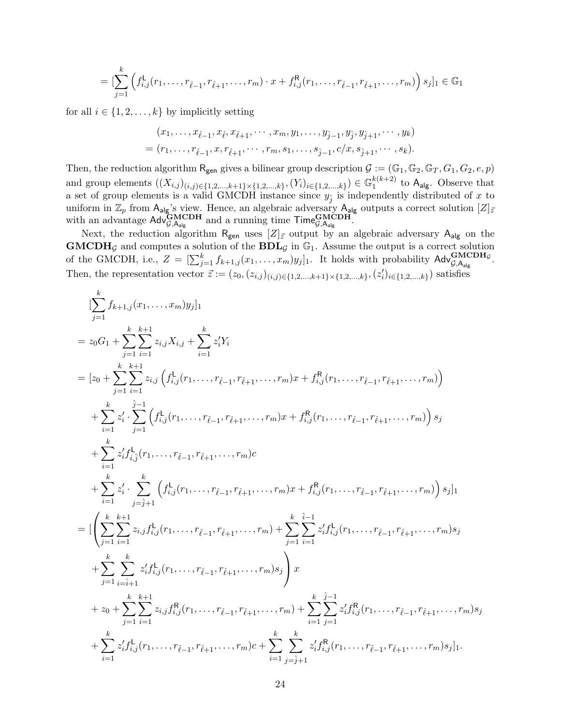$$
= [\sum_{j=1}^k \left( f_{i,j}^{\mathsf{L}}(r_1,\ldots,r_{\hat{\ell}-1},r_{\hat{\ell}+1},\ldots,r_m) \cdot x + f_{i,j}^{\mathsf{R}}(r_1,\ldots,r_{\hat{\ell}-1},r_{\hat{\ell}+1},\ldots,r_m) \right) s_j]_1 \in \mathbb{G}_1
$$

for all  $i \in \{1, 2, \ldots, k\}$  by implicitly setting

$$
(x_1, \ldots, x_{\hat{\ell}-1}, x_{\hat{\ell}}, x_{\hat{\ell}+1}, \cdots, x_m, y_1, \ldots, y_{\hat{j}-1}, y_{\hat{j}}, y_{\hat{j}+1}, \cdots, y_k)
$$
  
=  $(r_1, \ldots, r_{\hat{\ell}-1}, x, r_{\hat{\ell}+1}, \cdots, r_m, s_1, \ldots, s_{\hat{j}-1}, c/x, s_{\hat{j}+1}, \cdots, s_k).$ 

Then, the reduction algorithm  $R_{gen}$  gives a bilinear group description  $\mathcal{G} := (\mathbb{G}_1, \mathbb{G}_2, \mathbb{G}_T, G_1, G_2, e, p)$ and group elements  $((X_{i,j})_{(i,j)\in\{1,2,\ldots,k+1\}\times\{1,2,\ldots,k\}}, (Y_i)_{i\in\{1,2,\ldots,k\}}) \in \mathbb{G}_1^{k(k+2)}$  $_1^{\kappa(\kappa+2)}$  to  $A_{\text{alg}}$ . Observe that a set of group elements is a valid GMCDH instance since  $y_{\hat{j}}$  is independently distributed of x to uniform in  $\mathbb{Z}_p$  from  $A_{\text{alg}}$ 's view. Hence, an algebraic adversary  $A_{\text{alg}}$  outputs a correct solution  $[Z]_{\bar{z}}$ with an advantage  $\mathsf{Adv}_{\mathcal{G},\mathsf{A}_{\mathsf{alg}}}^{\mathbf{GMCDH}}$  and a running time  $\mathsf{Time}_{\mathcal{G},\mathsf{A}_{\mathsf{alg}}}^{\mathbf{GMCDH}}$ .

Next, the reduction algorithm  $R_{gen}$  uses  $[Z]_{\vec{z}}$  output by an algebraic adversary  $A_{alg}$  on the  $\mathbf{GMCDH}_{\mathcal{G}}$  and computes a solution of the  $\mathbf{BDL}_{\mathcal{G}}$  in  $\mathbb{G}_1$ . Assume the output is a correct solution of the GMCDH, i.e.,  $Z = \left[\sum_{j=1}^{k} f_{k+1,j}(x_1, \ldots, x_m) y_j\right]_1$ . It holds with probability  $\mathsf{Adv}_{\mathcal{G},\mathsf{A}_{\mathsf{alg}}}^{\mathbf{GMCDH}_{\mathcal{G}}}$ . Then, the representation vector  $\vec{z} := (z_0, (z_{i,j})_{(i,j) \in \{1,2,\dots,k+1\} \times \{1,2,\dots,k\}}, (z'_i)_{i \in \{1,2,\dots,k\}})$  satisfies

$$
\sum_{j=1}^{k} f_{k+1,j}(x_1, \ldots, x_m) y_j]_1
$$
\n
$$
= z_0 G_1 + \sum_{j=1}^{k} \sum_{i=1}^{k+1} z_{i,j} X_{i,j} + \sum_{i=1}^{k} z'_i Y_i
$$
\n
$$
= [z_0 + \sum_{j=1}^{k} \sum_{i=1}^{k+1} z_{i,j} \left( f_{i,j}^{\mathsf{L}}(r_1, \ldots, r_{\hat{\ell}-1}, r_{\hat{\ell}+1}, \ldots, r_m) x + f_{i,j}^{\mathsf{R}}(r_1, \ldots, r_{\hat{\ell}-1}, r_{\hat{\ell}+1}, \ldots, r_m) \right)
$$
\n
$$
+ \sum_{i=1}^{k} z'_i \cdot \sum_{j=1}^{j-1} \left( f_{i,j}^{\mathsf{L}}(r_1, \ldots, r_{\hat{\ell}-1}, r_{\hat{\ell}+1}, \ldots, r_m) x + f_{i,j}^{\mathsf{R}}(r_1, \ldots, r_{\hat{\ell}-1}, r_{\hat{\ell}+1}, \ldots, r_m) \right) s_j
$$
\n
$$
+ \sum_{i=1}^{k} z'_i f_{i,j}^{\mathsf{L}}(r_1, \ldots, r_{\hat{\ell}-1}, r_{\hat{\ell}+1}, \ldots, r_m) c
$$
\n
$$
+ \sum_{i=1}^{k} z'_i \cdot \sum_{j=\hat{j}+1}^{k} \left( f_{i,j}^{\mathsf{L}}(r_1, \ldots, r_{\hat{\ell}-1}, r_{\hat{\ell}+1}, \ldots, r_m) x + f_{i,j}^{\mathsf{R}}(r_1, \ldots, r_{\hat{\ell}-1}, r_{\hat{\ell}+1}, \ldots, r_m) \right) s_j \Big]_1
$$
\n
$$
= \Big[ \left( \sum_{j=1}^{k} \sum_{i=1}^{k+1} z_{i,j} f_{i,j}^{\mathsf{L}}(r_1, \ldots, r_{\hat{\ell}-1}, r_{\hat{\ell}+1}, \ldots, r_m) + \sum_{j=1}^{k} \sum_{i=1}^{i-1} z'_i f_{i,j}^{\mathsf{L}}(r_1, \ldots, r_{\hat{\ell}-1}, r_{\hat{\ell}
$$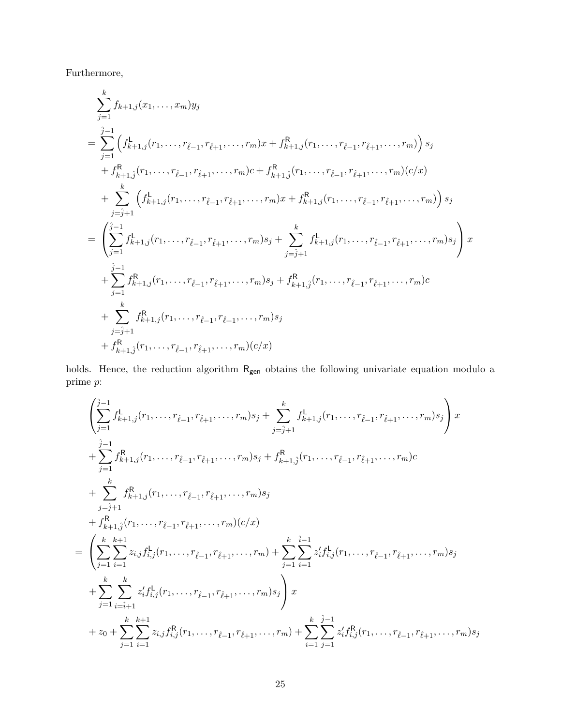Furthermore,

$$
\sum_{j=1}^{k} f_{k+1,j}(x_1, \ldots, x_m) y_j
$$
\n
$$
= \sum_{j=1}^{\hat{j}-1} \left( f_{k+1,j}^{\mathsf{L}}(r_1, \ldots, r_{\hat{\ell}-1}, r_{\hat{\ell}+1}, \ldots, r_m) x + f_{k+1,j}^{\mathsf{R}}(r_1, \ldots, r_{\hat{\ell}-1}, r_{\hat{\ell}+1}, \ldots, r_m) \right) s_j
$$
\n
$$
+ f_{k+1,\hat{j}}^{\mathsf{R}}(r_1, \ldots, r_{\hat{\ell}-1}, r_{\hat{\ell}+1}, \ldots, r_m) c + f_{k+1,\hat{j}}^{\mathsf{R}}(r_1, \ldots, r_{\hat{\ell}-1}, r_{\hat{\ell}+1}, \ldots, r_m) (c/x)
$$
\n
$$
+ \sum_{j=\hat{j}+1}^{k} \left( f_{k+1,j}^{\mathsf{L}}(r_1, \ldots, r_{\hat{\ell}-1}, r_{\hat{\ell}+1}, \ldots, r_m) x + f_{k+1,j}^{\mathsf{R}}(r_1, \ldots, r_{\hat{\ell}-1}, r_{\hat{\ell}+1}, \ldots, r_m) \right) s_j
$$
\n
$$
= \left( \sum_{j=1}^{\hat{j}-1} f_{k+1,j}^{\mathsf{L}}(r_1, \ldots, r_{\hat{\ell}-1}, r_{\hat{\ell}+1}, \ldots, r_m) s_j + \sum_{j=\hat{j}+1}^{k} f_{k+1,j}^{\mathsf{L}}(r_1, \ldots, r_{\hat{\ell}-1}, r_{\hat{\ell}+1}, \ldots, r_m) s_j \right) x
$$
\n
$$
+ \sum_{j=1}^{\hat{j}-1} f_{k+1,j}^{\mathsf{R}}(r_1, \ldots, r_{\hat{\ell}-1}, r_{\hat{\ell}+1}, \ldots, r_m) s_j + f_{k+1,\hat{j}}^{\mathsf{R}}(r_1, \ldots, r_{\hat{\ell}-1}, r_{\hat{\ell}+1}, \ldots, r_m) c
$$
\n
$$
+ \sum_{j=\hat{j}+1}^{k} f_{k+1,j}^{\mathsf{R}}(r_1, \ldots, r_{\hat{\ell}-1}, r_{\hat{\ell}+1}, \
$$

holds. Hence, the reduction algorithm  $\mathsf{R}_{\mathsf{gen}}$  obtains the following univariate equation modulo a prime *p*:

$$
\left(\sum_{j=1}^{j-1} f_{k+1,j}^{L}(r_{1},\ldots,r_{\hat{\ell}-1},r_{\hat{\ell}+1},\ldots,r_{m})s_{j} + \sum_{j=\hat{j}+1}^{k} f_{k+1,j}^{L}(r_{1},\ldots,r_{\hat{\ell}-1},r_{\hat{\ell}+1},\ldots,r_{m})s_{j}\right)x
$$
\n
$$
+ \sum_{j=1}^{j-1} f_{k+1,j}^{R}(r_{1},\ldots,r_{\hat{\ell}-1},r_{\hat{\ell}+1},\ldots,r_{m})s_{j} + f_{k+1,\hat{j}}^{R}(r_{1},\ldots,r_{\hat{\ell}-1},r_{\hat{\ell}+1},\ldots,r_{m})c
$$
\n
$$
+ \sum_{j=\hat{j}+1}^{k} f_{k+1,j}^{R}(r_{1},\ldots,r_{\hat{\ell}-1},r_{\hat{\ell}+1},\ldots,r_{m})s_{j}
$$
\n
$$
+ f_{k+1,\hat{j}}^{R}(r_{1},\ldots,r_{\hat{\ell}-1},r_{\hat{\ell}+1},\ldots,r_{m})c/x)
$$
\n
$$
= \left(\sum_{j=1}^{k} \sum_{i=1}^{k+1} z_{i,j} f_{i,j}^{L}(r_{1},\ldots,r_{\hat{\ell}-1},r_{\hat{\ell}+1},\ldots,r_{m}) + \sum_{j=1}^{k} \sum_{i=1}^{i-1} z'_{i,j} f_{i,j}^{L}(r_{1},\ldots,r_{\hat{\ell}-1},r_{\hat{\ell}+1},\ldots,r_{m})s_{j}
$$
\n
$$
+ \sum_{j=1}^{k} \sum_{i=\hat{i}+1}^{k} z'_{i,j} f_{i,j}^{L}(r_{1},\ldots,r_{\hat{\ell}-1},r_{\hat{\ell}+1},\ldots,r_{m}) + \sum_{i=1}^{k} \sum_{j=1}^{j-1} z'_{i,j} f_{i,j}^{R}(r_{1},\ldots,r_{\hat{\ell}-1},r_{\hat{\ell}+1},\ldots,r_{m})s_{j}
$$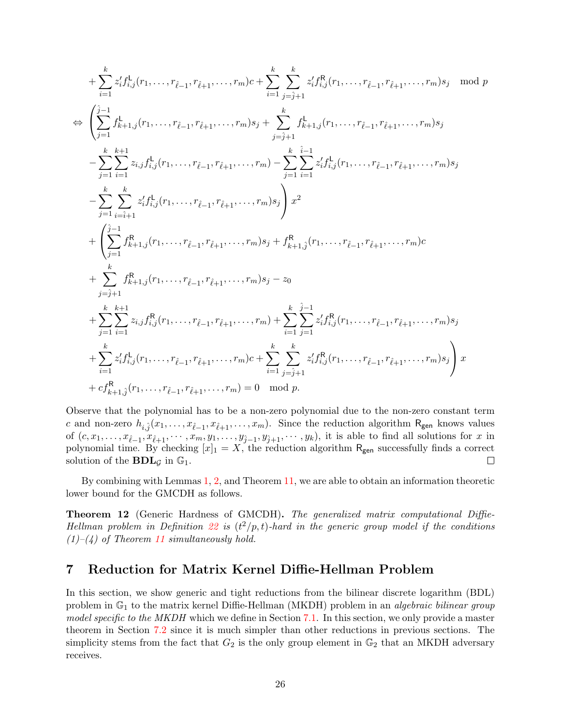$$
+\sum_{i=1}^{k} z'_{i} f_{i,j}^{1}(r_{1},\ldots,r_{\ell-1},r_{\ell+1},\ldots,r_{m})c+\sum_{i=1}^{k} \sum_{j=\hat{j}+1}^{k} z'_{i} f_{i,j}^{R}(r_{1},\ldots,r_{\ell-1},r_{\ell+1},\ldots,r_{m})s_{j} \mod p
$$
  
\n
$$
\Leftrightarrow \left(\sum_{j=1}^{\hat{j}-1} f_{k+1,j}^{1}(r_{1},\ldots,r_{\ell-1},r_{\ell+1},\ldots,r_{m})s_{j}+\sum_{j=\hat{j}+1}^{k} f_{k+1,j}^{1}(r_{1},\ldots,r_{\ell-1},r_{\ell+1},\ldots,r_{m})s_{j}
$$
  
\n
$$
-\sum_{j=1}^{k} \sum_{i=1}^{k+1} z_{i,j} f_{i,j}^{1}(r_{1},\ldots,r_{\ell-1},r_{\ell+1},\ldots,r_{m})-\sum_{j=1}^{k} \sum_{i=1}^{\hat{i}-1} z'_{i,j} f_{i,j}^{1}(r_{1},\ldots,r_{\ell-1},r_{\ell+1},\ldots,r_{m})s_{j}
$$
  
\n
$$
-\sum_{j=1}^{k} \sum_{i=\hat{i}+1}^{k} z'_{i,j} f_{i,j}^{1}(r_{1},\ldots,r_{\ell-1},r_{\ell+1},\ldots,r_{m})s_{j}\right)x^{2}
$$
  
\n
$$
+\left(\sum_{j=1}^{\hat{j}-1} f_{k+1,j}^{R}(r_{1},\ldots,r_{\ell-1},r_{\ell+1},\ldots,r_{m})s_{j}+f_{k+1,j}^{R}(r_{1},\ldots,r_{\ell-1},r_{\ell+1},\ldots,r_{m})c
$$
  
\n
$$
+\sum_{j=1}^{k} f_{k+1,j}^{R}(r_{1},\ldots,r_{\ell-1},r_{\ell+1},\ldots,r_{m})s_{j}-z_{0}
$$
  
\n
$$
+\sum_{j=1}^{k} \sum_{i=1}^{k+1} z_{i,j} f_{i,j}^{R}(r_{1},\ldots,r_{\ell-1},r_{\ell+1},\ldots,r_{m})c+\sum_{i=1}^{k} \sum_{j=1}^{k} z'_{
$$

Observe that the polynomial has to be a non-zero polynomial due to the non-zero constant term *c* and non-zero  $h_{i,\hat{j}}(x_1,\ldots,x_{\hat{\ell}-1},x_{\hat{\ell}+1},\ldots,x_m)$ . Since the reduction algorithm R<sub>gen</sub> knows values of  $(c, x_1, \ldots, x_{\hat{\ell}-1}, x_{\hat{\ell}+1}, \cdots, x_m, y_1, \ldots, y_{\hat{j}-1}, y_{\hat{j}+1}, \cdots, y_k)$ , it is able to find all solutions for x in polynomial time. By checking  $[x]_1 = X$ , the reduction algorithm  $R_{gen}$  successfully finds a correct solution of the  $BDL<sub>G</sub>$  in  $\mathbb{G}<sub>1</sub>$ .  $\Box$ 

By combining with Lemmas 1, 2, and Theorem 11, we are able to obtain an information theoretic lower bound for the GMCDH as follows.

**Theorem 12** (Generic Hardness of GMCDH)**.** *The generalized matrix computational Diffie-Hellman problem in Definition* 22 *is*  $(t^2/p, t)$ *-hard in the generic group model if the conditions (1)–(4) of Theorem 11 simultaneously hold.*

# **7 Reduction for Matrix Kernel Diffie-Hellman Problem**

In this section, we show generic and tight reductions from the bilinear discrete logarithm (BDL) problem in G<sup>1</sup> to the matrix kernel Diffie-Hellman (MKDH) problem in an *algebraic bilinear group model specific to the MKDH* which we define in Section 7.1. In this section, we only provide a master theorem in Section 7.2 since it is much simpler than other reductions in previous sections. The simplicity stems from the fact that  $G_2$  is the only group element in  $\mathbb{G}_2$  that an MKDH adversary receives.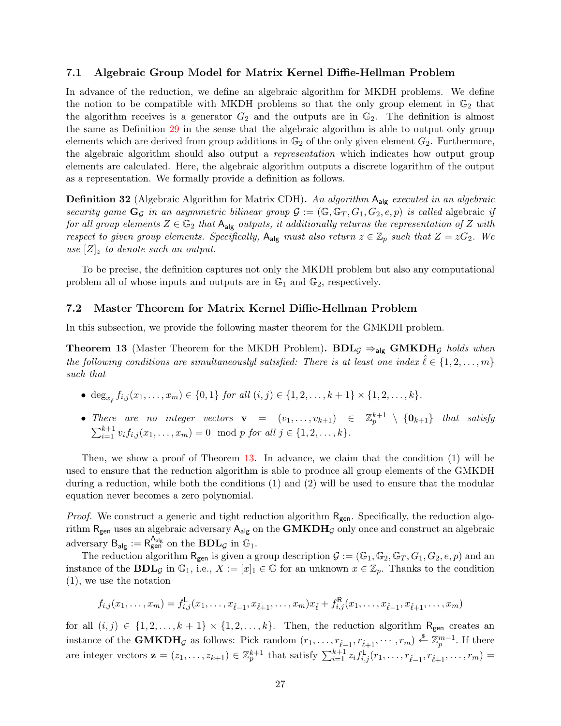### **7.1 Algebraic Group Model for Matrix Kernel Diffie-Hellman Problem**

In advance of the reduction, we define an algebraic algorithm for MKDH problems. We define the notion to be compatible with MKDH problems so that the only group element in  $\mathbb{G}_2$  that the algorithm receives is a generator  $G_2$  and the outputs are in  $\mathbb{G}_2$ . The definition is almost the same as Definition 29 in the sense that the algebraic algorithm is able to output only group elements which are derived from group additions in  $\mathbb{G}_2$  of the only given element  $G_2$ . Furthermore, the algebraic algorithm should also output a *representation* which indicates how output group elements are calculated. Here, the algebraic algorithm outputs a discrete logarithm of the output as a representation. We formally provide a definition as follows.

**Definition 32** (Algebraic Algorithm for Matrix CDH)**.** *An algorithm* Aalg *executed in an algebraic security game*  $\mathbf{G}_{\mathcal{G}}$  *in an asymmetric bilinear group*  $\mathcal{G} := (\mathbb{G}, \mathbb{G}_T, G_1, G_2, e, p)$  *is called* algebraic *if for all group elements*  $Z \in \mathbb{G}_2$  *that*  $A_{alg}$  *outputs, it additionally returns the representation of*  $Z$  *with respect to given group elements. Specifically,*  $A_{alg}$  *must also return*  $z \in \mathbb{Z}_p$  *such that*  $Z = zG_2$ *. We use*  $|Z|_z$  *to denote such an output.* 

To be precise, the definition captures not only the MKDH problem but also any computational problem all of whose inputs and outputs are in  $\mathbb{G}_1$  and  $\mathbb{G}_2$ , respectively.

### **7.2 Master Theorem for Matrix Kernel Diffie-Hellman Problem**

In this subsection, we provide the following master theorem for the GMKDH problem.

**Theorem 13** (Master Theorem for the MKDH Problem). **BDL**<sub>*G*</sub>  $\Rightarrow$ <sub>alg</sub> **GMKDH***G holds when the following conditions are simultaneouslyl satisfied: There is at least one index*  $\ell \in \{1, 2, \ldots, m\}$ *such that*

- $\deg_{x_{\hat{\ell}}} f_{i,j}(x_1,\ldots,x_m) \in \{0,1\}$  for all  $(i,j) \in \{1,2,\ldots,k+1\} \times \{1,2,\ldots,k\}.$
- *There are no integer vectors*  $\mathbf{v} = (v_1, \ldots, v_{k+1}) \in \mathbb{Z}_p^{k+1} \setminus \{\mathbf{0}_{k+1}\}$  *that satisfy*  $\sum_{i=1}^{k+1} v_i f_{i,j}(x_1, \ldots, x_m) = 0 \mod p \text{ for all } j \in \{1, 2, \ldots, k\}.$

Then, we show a proof of Theorem 13. In advance, we claim that the condition (1) will be used to ensure that the reduction algorithm is able to produce all group elements of the GMKDH during a reduction, while both the conditions (1) and (2) will be used to ensure that the modular equation never becomes a zero polynomial.

*Proof.* We construct a generic and tight reduction algorithm  $R_{gen}$ . Specifically, the reduction algorithm  $R_{gen}$  uses an algebraic adversary  $A_{alg}$  on the  $GMKDH<sub>G</sub>$  only once and construct an algebraic adversary  $B_{\mathsf{alg}} := R_{\mathsf{gen}}^{\mathsf{A}_{\mathsf{alg}}}$  on the  $\mathbf{BDL}_{\mathcal{G}}$  in  $\mathbb{G}_1$ .

The reduction algorithm  $R_{gen}$  is given a group description  $\mathcal{G} := (\mathbb{G}_1, \mathbb{G}_2, \mathbb{G}_T, G_1, G_2, e, p)$  and an instance of the **BDL**<sub>*G*</sub> in  $\mathbb{G}_1$ , i.e.,  $X := [x]_1 \in \mathbb{G}$  for an unknown  $x \in \mathbb{Z}_p$ . Thanks to the condition (1), we use the notation

$$
f_{i,j}(x_1,\ldots,x_m)=f_{i,j}^{\mathsf{L}}(x_1,\ldots,x_{\hat{\ell}-1},x_{\hat{\ell}+1},\ldots,x_m)x_{\hat{\ell}}+f_{i,j}^{\mathsf{R}}(x_1,\ldots,x_{\hat{\ell}-1},x_{\hat{\ell}+1},\ldots,x_m)
$$

for all  $(i, j) \in \{1, 2, \ldots, k+1\} \times \{1, 2, \ldots, k\}$ . Then, the reduction algorithm R<sub>gen</sub> creates an instance of the **GMKDH**<sub>G</sub> as follows: Pick random  $(r_1, \ldots, r_{\hat{\ell}-1}, r_{\hat{\ell}+1}, \cdots, r_m) \overset{\$}{\leftarrow} \mathbb{Z}_p^{m-1}$ . If there are integer vectors  $\mathbf{z} = (z_1, \ldots, z_{k+1}) \in \mathbb{Z}_p^{k+1}$  that satisfy  $\sum_{i=1}^{k+1} z_i f_{i,j}^{\mathsf{L}}(r_1, \ldots, r_{\hat{\ell}-1}, r_{\hat{\ell}+1}, \ldots, r_m) =$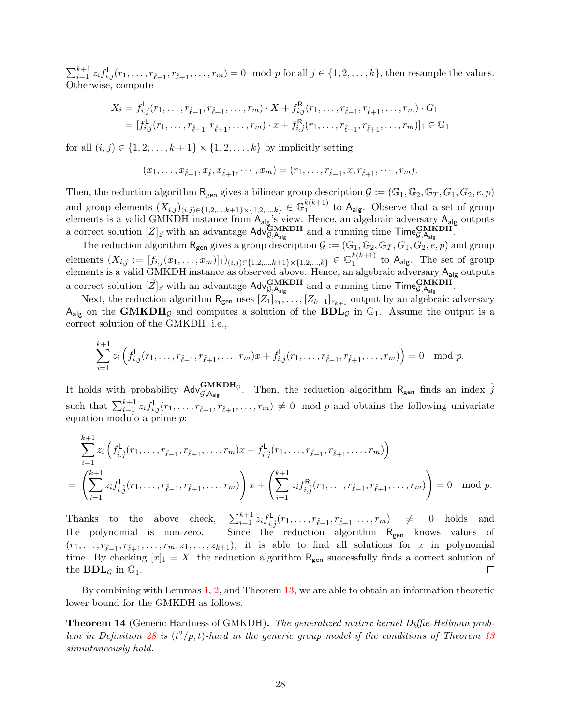$\sum_{i=1}^{k+1} z_i f_{i,j}^{\mathsf{L}}(r_1,\ldots,r_{\hat{\ell}-1},r_{\hat{\ell}+1},\ldots,r_m) = 0 \mod p$  for all  $j \in \{1,2,\ldots,k\}$ , then resample the values. Otherwise, compute

$$
X_i = f_{i,j}^{\mathsf{L}}(r_1, \dots, r_{\hat{\ell}-1}, r_{\hat{\ell}+1}, \dots, r_m) \cdot X + f_{i,j}^{\mathsf{R}}(r_1, \dots, r_{\hat{\ell}-1}, r_{\hat{\ell}+1}, \dots, r_m) \cdot G_1
$$
  
=  $[f_{i,j}^{\mathsf{L}}(r_1, \dots, r_{\hat{\ell}-1}, r_{\hat{\ell}+1}, \dots, r_m) \cdot x + f_{i,j}^{\mathsf{R}}(r_1, \dots, r_{\hat{\ell}-1}, r_{\hat{\ell}+1}, \dots, r_m)]_1 \in \mathbb{G}_1$ 

for all  $(i, j) \in \{1, 2, \ldots, k+1\} \times \{1, 2, \ldots, k\}$  by implicitly setting

$$
(x_1, \ldots, x_{\hat{\ell}-1}, x_{\hat{\ell}}, x_{\hat{\ell}+1}, \cdots, x_m) = (r_1, \ldots, r_{\hat{\ell}-1}, x, r_{\hat{\ell}+1}, \cdots, r_m).
$$

Then, the reduction algorithm  $R_{gen}$  gives a bilinear group description  $G := (\mathbb{G}_1, \mathbb{G}_2, \mathbb{G}_T, G_1, G_2, e, p)$ and group elements  $(X_{i,j})_{(i,j)\in\{1,2,\ldots,k+1\}\times\{1,2,\ldots,k\}} \in \mathbb{G}_1^{k(k+1)}$  $_1^{\kappa(\kappa+1)}$  to A<sub>alg</sub>. Observe that a set of group elements is a valid GMKDH instance from  $A_{alg}$ 's view. Hence, an algebraic adversary  $A_{alg}$  outputs a correct solution  $[Z]_{\vec{z}}$  with an advantage  $\text{Adv}_{\mathcal{G},A_{\text{alg}}}^{\text{GMKDH}}$  and a running time  $\text{Time}_{\mathcal{G},A_{\text{alg}}}^{\text{GMKDH}}$ .

The reduction algorithm  $R_{gen}$  gives a group description  $\mathcal{G} := (\mathbb{G}_1, \mathbb{G}_2, \mathbb{G}_T, G_1, G_2, e, p)$  and group  $\text{elements } (X_{i,j} := [f_{i,j}(x_1,\ldots,x_m)]_1)_{(i,j)\in\{1,2,\ldots,k+1\}\times\{1,2,\ldots,k\}} \in \mathbb{G}_1^{k(k+1)}$  $_1^{\kappa(\kappa+1)}$  to  $A_{\text{alg}}$ . The set of group elements is a valid GMKDH instance as observed above. Hence, an algebraic adversary  $A_{\mathsf{alg}}$  outputs a correct solution  $[\vec{Z}]_{\vec{z}}$  with an advantage  $\mathsf{Adv}_{\mathcal{G},\mathsf{A}_{\mathsf{alg}}}^{\mathbf{GMKDH}}$  and a running time  $\mathsf{Time}_{\mathcal{G},\mathsf{A}_{\mathsf{alg}}}^{\mathbf{GMKDH}}$ .

Next, the reduction algorithm  $R_{gen}$  uses  $[Z_1]_{z_1}, \ldots, [Z_{k+1}]_{z_{k+1}}$  output by an algebraic adversary  $A_{\text{alg}}$  on the **GMKDH**<sub>*G*</sub> and computes a solution of the **BDL**<sub>*G*</sub> in  $\mathbb{G}_1$ . Assume the output is a correct solution of the GMKDH, i.e.,

$$
\sum_{i=1}^{k+1} z_i \left( f_{i,j}^{\mathsf{L}}(r_1,\ldots,r_{\hat{\ell}-1},r_{\hat{\ell}+1},\ldots,r_m)x + f_{i,j}^{\mathsf{L}}(r_1,\ldots,r_{\hat{\ell}-1},r_{\hat{\ell}+1},\ldots,r_m) \right) = 0 \mod p.
$$

It holds with probability  $\mathsf{Adv}_{\mathcal{G},A_{alg}}^{\mathbf{GMKDH}_{\mathcal{G}}}$ . Then, the reduction algorithm  $R_{gen}$  finds an index  $\hat{j}$ such that  $\sum_{i=1}^{k+1} z_i f_{i,j}^{\mathsf{L}}(r_1,\ldots,r_{\hat{\ell}-1},r_{\hat{\ell}+1},\ldots,r_m) \neq 0 \mod p$  and obtains the following univariate equation modulo a prime *p*:

$$
\sum_{i=1}^{k+1} z_i \left( f_{i,\hat{j}}^{\mathsf{L}}(r_1,\ldots,r_{\hat{\ell}-1},r_{\hat{\ell}+1},\ldots,r_m)x + f_{i,\hat{j}}^{\mathsf{L}}(r_1,\ldots,r_{\hat{\ell}-1},r_{\hat{\ell}+1},\ldots,r_m) \right) = \left( \sum_{i=1}^{k+1} z_i f_{i,\hat{j}}^{\mathsf{L}}(r_1,\ldots,r_{\hat{\ell}-1},r_{\hat{\ell}+1},\ldots,r_m) \right) x + \left( \sum_{i=1}^{k+1} z_i f_{i,\hat{j}}^{\mathsf{R}}(r_1,\ldots,r_{\hat{\ell}-1},r_{\hat{\ell}+1},\ldots,r_m) \right) = 0 \mod p.
$$

 $\begin{array}{llll}\n\frac{k+1}{i} z_i f_{i,j}^{\mathsf{L}}(r_1, \ldots, r_{\hat{\ell}-1}, r_{\hat{\ell}+1}, \ldots, r_m) & \neq & 0 & \text{holds} & \text{and} \n\end{array}$ Thanks to the above check, the polynomial is non-zero. Since the reduction algorithm  $R_{gen}$  knows values of  $(r_1, \ldots, r_{\hat{\ell}-1}, r_{\hat{\ell}+1}, \ldots, r_m, z_1, \ldots, z_{k+1})$ , it is able to find all solutions for *x* in polynomial time. By checking  $[x]_1 = X$ , the reduction algorithm R<sub>gen</sub> successfully finds a correct solution of the  $BDL_G$  in  $\mathbb{G}_1$ .  $\Box$ 

By combining with Lemmas 1, 2, and Theorem 13, we are able to obtain an information theoretic lower bound for the GMKDH as follows.

**Theorem 14** (Generic Hardness of GMKDH)**.** *The generalized matrix kernel Diffie-Hellman problem in Definition* 28 *is*  $(t^2/p, t)$ *-hard in the generic group model if the conditions of Theorem 13 simultaneously hold.*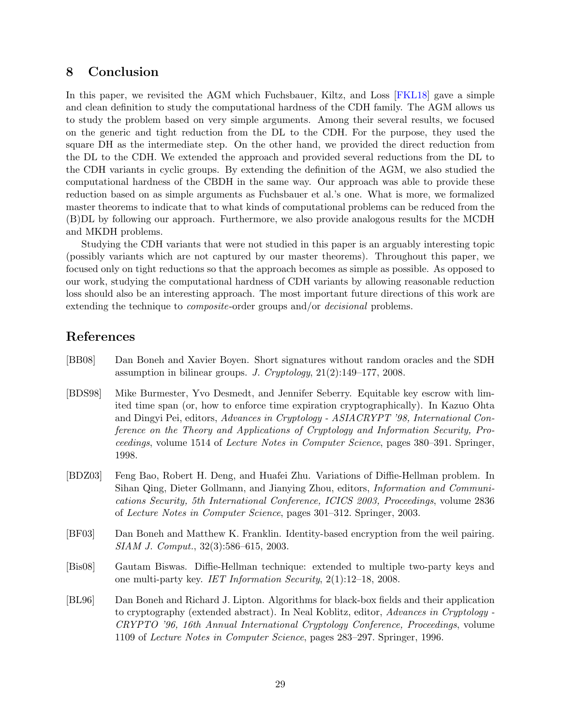# **8 Conclusion**

In this paper, we revisited the AGM which Fuchsbauer, Kiltz, and Loss [FKL18] gave a simple and clean definition to study the computational hardness of the CDH family. The AGM allows us to study the problem based on very simple arguments. Among their several results, we focused on the generic and tight reduction from the DL to the CDH. For the purpose, they used the square DH as the intermediate step. On the other hand, we provided the direct reduction from the DL to the CDH. We extended the approach and provided several reductions from the DL to the CDH variants in cyclic groups. By extending the definition of the AGM, we also studied the computational hardness of the CBDH in the same way. Our approach was able to provide these reduction based on as simple arguments as Fuchsbauer et al.'s one. What is more, we formalized master theorems to indicate that to what kinds of computational problems can be reduced from the (B)DL by following our approach. Furthermore, we also provide analogous results for the MCDH and MKDH problems.

Studying the CDH variants that were not studied in this paper is an arguably interesting topic (possibly variants which are not captured by our master theorems). Throughout this paper, we focused only on tight reductions so that the approach becomes as simple as possible. As opposed to our work, studying the computational hardness of CDH variants by allowing reasonable reduction loss should also be an interesting approach. The most important future directions of this work are extending the technique to *composite*-order groups and/or *decisional* problems.

# **References**

- [BB08] Dan Boneh and Xavier Boyen. Short signatures without random oracles and the SDH assumption in bilinear groups. *J. Cryptology*, 21(2):149–177, 2008.
- [BDS98] Mike Burmester, Yvo Desmedt, and Jennifer Seberry. Equitable key escrow with limited time span (or, how to enforce time expiration cryptographically). In Kazuo Ohta and Dingyi Pei, editors, *Advances in Cryptology - ASIACRYPT '98, International Conference on the Theory and Applications of Cryptology and Information Security, Proceedings*, volume 1514 of *Lecture Notes in Computer Science*, pages 380–391. Springer, 1998.
- [BDZ03] Feng Bao, Robert H. Deng, and Huafei Zhu. Variations of Diffie-Hellman problem. In Sihan Qing, Dieter Gollmann, and Jianying Zhou, editors, *Information and Communications Security, 5th International Conference, ICICS 2003, Proceedings*, volume 2836 of *Lecture Notes in Computer Science*, pages 301–312. Springer, 2003.
- [BF03] Dan Boneh and Matthew K. Franklin. Identity-based encryption from the weil pairing. *SIAM J. Comput.*, 32(3):586–615, 2003.
- [Bis08] Gautam Biswas. Diffie-Hellman technique: extended to multiple two-party keys and one multi-party key. *IET Information Security*, 2(1):12–18, 2008.
- [BL96] Dan Boneh and Richard J. Lipton. Algorithms for black-box fields and their application to cryptography (extended abstract). In Neal Koblitz, editor, *Advances in Cryptology - CRYPTO '96, 16th Annual International Cryptology Conference, Proceedings*, volume 1109 of *Lecture Notes in Computer Science*, pages 283–297. Springer, 1996.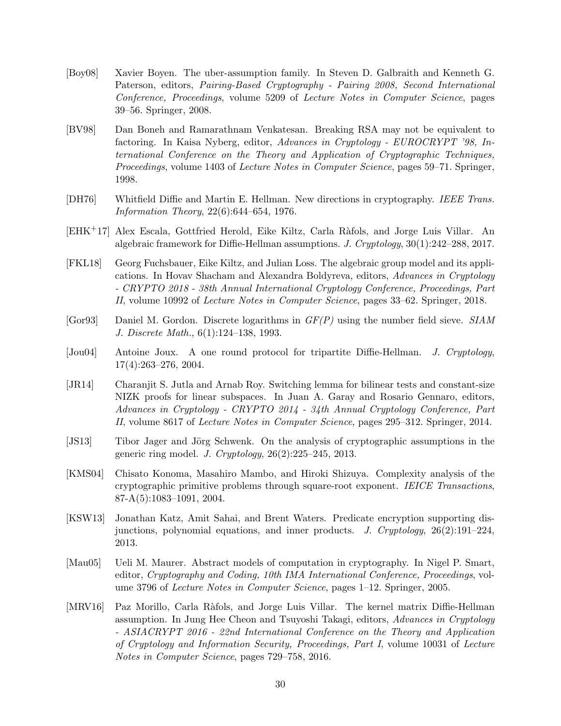- [Boy08] Xavier Boyen. The uber-assumption family. In Steven D. Galbraith and Kenneth G. Paterson, editors, *Pairing-Based Cryptography - Pairing 2008, Second International Conference, Proceedings*, volume 5209 of *Lecture Notes in Computer Science*, pages 39–56. Springer, 2008.
- [BV98] Dan Boneh and Ramarathnam Venkatesan. Breaking RSA may not be equivalent to factoring. In Kaisa Nyberg, editor, *Advances in Cryptology - EUROCRYPT '98, International Conference on the Theory and Application of Cryptographic Techniques, Proceedings*, volume 1403 of *Lecture Notes in Computer Science*, pages 59–71. Springer, 1998.
- [DH76] Whitfield Diffie and Martin E. Hellman. New directions in cryptography. *IEEE Trans. Information Theory*, 22(6):644–654, 1976.
- [EHK+17] Alex Escala, Gottfried Herold, Eike Kiltz, Carla R`afols, and Jorge Luis Villar. An algebraic framework for Diffie-Hellman assumptions. *J. Cryptology*, 30(1):242–288, 2017.
- [FKL18] Georg Fuchsbauer, Eike Kiltz, and Julian Loss. The algebraic group model and its applications. In Hovav Shacham and Alexandra Boldyreva, editors, *Advances in Cryptology - CRYPTO 2018 - 38th Annual International Cryptology Conference, Proceedings, Part II*, volume 10992 of *Lecture Notes in Computer Science*, pages 33–62. Springer, 2018.
- [Gor93] Daniel M. Gordon. Discrete logarithms in *GF(P)* using the number field sieve. *SIAM J. Discrete Math.*, 6(1):124–138, 1993.
- [Jou04] Antoine Joux. A one round protocol for tripartite Diffie-Hellman. *J. Cryptology*, 17(4):263–276, 2004.
- [JR14] Charanjit S. Jutla and Arnab Roy. Switching lemma for bilinear tests and constant-size NIZK proofs for linear subspaces. In Juan A. Garay and Rosario Gennaro, editors, *Advances in Cryptology - CRYPTO 2014 - 34th Annual Cryptology Conference, Part II*, volume 8617 of *Lecture Notes in Computer Science*, pages 295–312. Springer, 2014.
- [JS13] Tibor Jager and Jörg Schwenk. On the analysis of cryptographic assumptions in the generic ring model. *J. Cryptology*, 26(2):225–245, 2013.
- [KMS04] Chisato Konoma, Masahiro Mambo, and Hiroki Shizuya. Complexity analysis of the cryptographic primitive problems through square-root exponent. *IEICE Transactions*, 87-A(5):1083–1091, 2004.
- [KSW13] Jonathan Katz, Amit Sahai, and Brent Waters. Predicate encryption supporting disjunctions, polynomial equations, and inner products. *J. Cryptology*, 26(2):191–224, 2013.
- [Mau05] Ueli M. Maurer. Abstract models of computation in cryptography. In Nigel P. Smart, editor, *Cryptography and Coding, 10th IMA International Conference, Proceedings*, volume 3796 of *Lecture Notes in Computer Science*, pages 1–12. Springer, 2005.
- [MRV16] Paz Morillo, Carla Ràfols, and Jorge Luis Villar. The kernel matrix Diffie-Hellman assumption. In Jung Hee Cheon and Tsuyoshi Takagi, editors, *Advances in Cryptology - ASIACRYPT 2016 - 22nd International Conference on the Theory and Application of Cryptology and Information Security, Proceedings, Part I*, volume 10031 of *Lecture Notes in Computer Science*, pages 729–758, 2016.